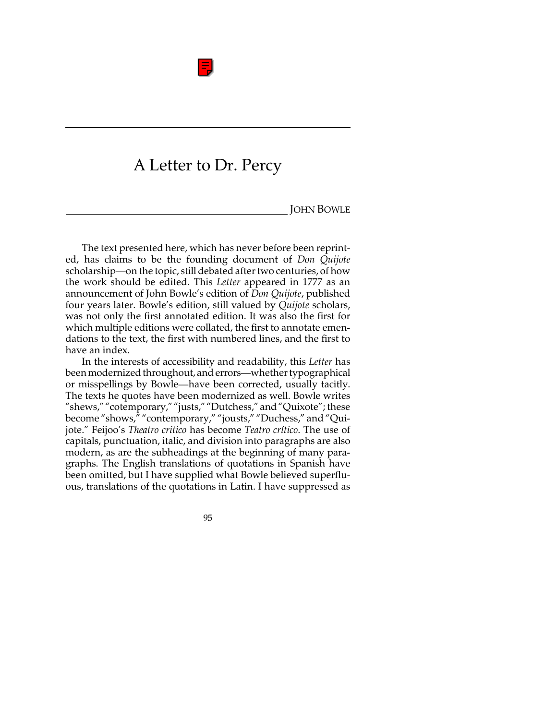

# A Letter to Dr. Percy

**JOHN BOWLE** 

The text presented here, which has never before been reprinted, has claims to be the founding document of *Don Quijote* scholarship—on the topic, still debated after two centuries, of how the work should be edited. This *Letter* appeared in 1777 as an announcement of John Bowle's edition of *Don Quijote*, published four years later. Bowle's edition, still valued by *Quijote* scholars, was not only the first annotated edition. It was also the first for which multiple editions were collated, the first to annotate emendations to the text, the first with numbered lines, and the first to have an index.

In the interests of accessibility and readability, this *Letter* has been modernized throughout, and errors—whether typographical or misspellings by Bowle—have been corrected, usually tacitly. The texts he quotes have been modernized as well. Bowle writes "shews," "cotemporary," "justs," "Dutchess," and "Quixote"; these become "shows," "contemporary," "jousts," "Duchess," and "Quijote." Feijoo's *Theatro critico* has become *Teatro crítico*. The use of capitals, punctuation, italic, and division into paragraphs are also modern, as are the subheadings at the beginning of many paragraphs. The English translations of quotations in Spanish have been omitted, but I have supplied what Bowle believed superfluous, translations of the quotations in Latin. I have suppressed as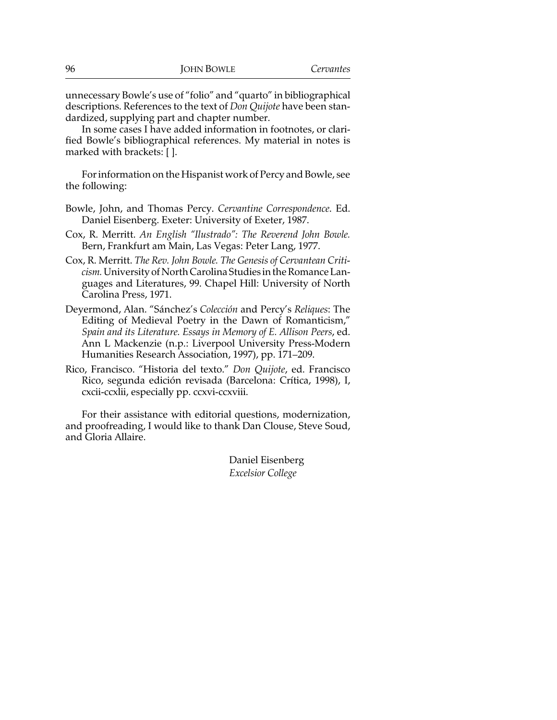unnecessary Bowle's use of "folio" and "quarto" in bibliographical descriptions. References to the text of *Don Quijote* have been standardized, supplying part and chapter number.

In some cases I have added information in footnotes, or clarified Bowle's bibliographical references. My material in notes is marked with brackets: [ ].

For information on the Hispanist work of Percy and Bowle, see the following:

- Bowle, John, and Thomas Percy. *Cervantine Correspondence*. Ed. Daniel Eisenberg. Exeter: University of Exeter, 1987.
- Cox, R. Merritt. *An English "Ilustrado": The Reverend John Bowle.* Bern, Frankfurt am Main, Las Vegas: Peter Lang, 1977.
- Cox, R. Merritt. *The Rev. John Bowle. The Genesis of Cervantean Criticism.* University of North Carolina Studies in the Romance Languages and Literatures, 99. Chapel Hill: University of North Carolina Press, 1971.
- Deyermond, Alan. "Sánchez's *Colección* and Percy's *Reliques*: The Editing of Medieval Poetry in the Dawn of Romanticism," *Spain and its Literature. Essays in Memory of E. Allison Peers*, ed. Ann L Mackenzie (n.p.: Liverpool University Press-Modern Humanities Research Association, 1997), pp. 171–209.
- Rico, Francisco. "Historia del texto." *Don Quijote*, ed. Francisco Rico, segunda edición revisada (Barcelona: Crítica, 1998), I, cxcii-ccxlii, especially pp. ccxvi-ccxviii.

For their assistance with editorial questions, modernization, and proofreading, I would like to thank Dan Clouse, Steve Soud, and Gloria Allaire.

> Daniel Eisenberg *Excelsior College*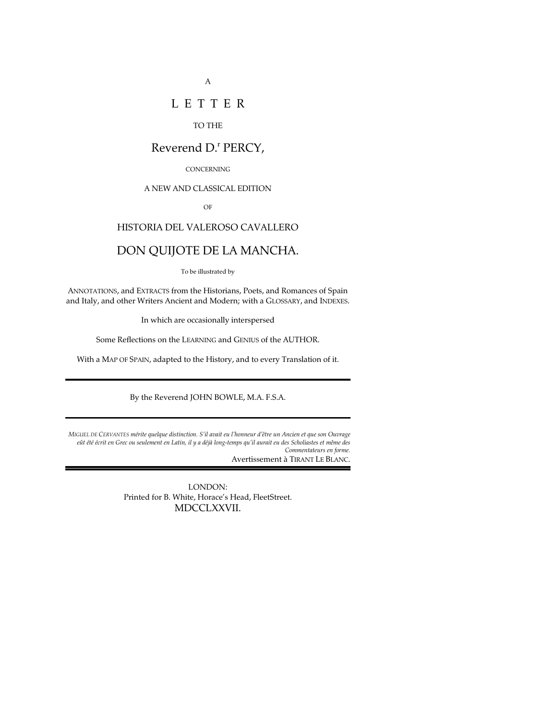## L E T T E R

#### TO THE

## Reverend D.<sup>r</sup> PERCY,

#### **CONCERNING**

#### A NEW AND CLASSICAL EDITION

OF

## HISTORIA DEL VALEROSO CAVALLERO

## DON QUIJOTE DE LA MANCHA.

To be illustrated by

ANNOTATIONS, and EXTRACTS from the Historians, Poets, and Romances of Spain and Italy, and other Writers Ancient and Modern; with a GLOSSARY, and INDEXES.

In which are occasionally interspersed

Some Reflections on the LEARNING and GENIUS of the AUTHOR.

With a MAP OF SPAIN, adapted to the History, and to every Translation of it.

By the Reverend JOHN BOWLE, M.A. F.S.A.

*MIGUEL DE CERVANTES mérite quelque distinction. S'il avait eu l'honneur d'être un Ancien et que son Ouvrage eût été écrit en Grec ou seulement en Latin, il y a déjà long-temps qu'il aurait eu des Scholiastes et même des Commentateurs en forme.* Avertissement à TIRANT LE BLANC.

> LONDON: Printed for B. White, Horace's Head, FleetStreet. MDCCLXXVII.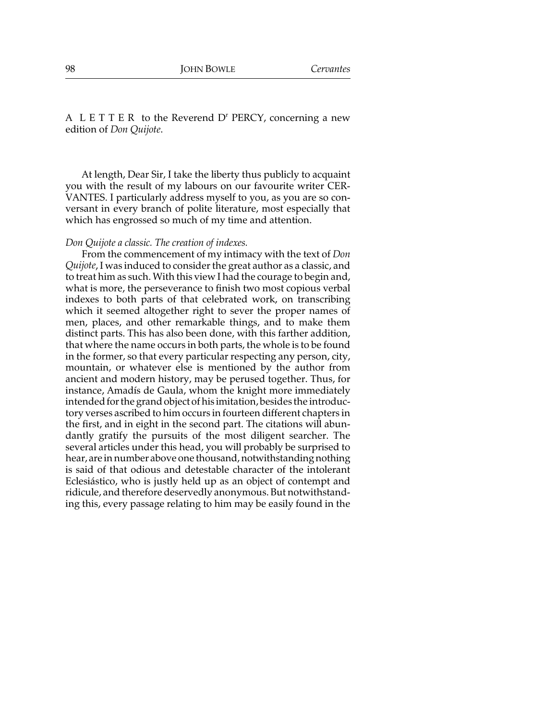A  $L E T T E R$  to the Reverend  $D<sup>r</sup> P E R C Y$ , concerning a new edition of *Don Quijote*.

At length, Dear Sir, I take the liberty thus publicly to acquaint you with the result of my labours on our favourite writer CER-VANTES. I particularly address myself to you, as you are so conversant in every branch of polite literature, most especially that which has engrossed so much of my time and attention.

#### *Don Quijote a classic. The creation of indexes.*

From the commencement of my intimacy with the text of *Don Quijote*, I was induced to consider the great author as a classic, and to treat him as such. With this view I had the courage to begin and, what is more, the perseverance to finish two most copious verbal indexes to both parts of that celebrated work, on transcribing which it seemed altogether right to sever the proper names of men, places, and other remarkable things, and to make them distinct parts. This has also been done, with this farther addition, that where the name occurs in both parts, the whole is to be found in the former, so that every particular respecting any person, city, mountain, or whatever else is mentioned by the author from ancient and modern history, may be perused together. Thus, for instance, Amadís de Gaula, whom the knight more immediately intended for the grand object of his imitation, besides the introductory verses ascribed to him occurs in fourteen different chapters in the first, and in eight in the second part. The citations will abundantly gratify the pursuits of the most diligent searcher. The several articles under this head, you will probably be surprised to hear, are in number above one thousand, notwithstanding nothing is said of that odious and detestable character of the intolerant Eclesiástico, who is justly held up as an object of contempt and ridicule, and therefore deservedly anonymous. But notwithstanding this, every passage relating to him may be easily found in the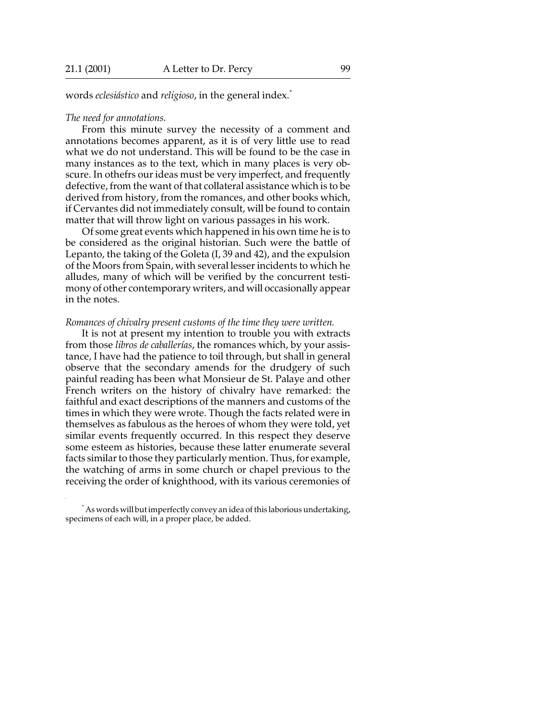words *eclesiástico* and *religioso*, in the general index.\*

#### *The need for annotations.*

From this minute survey the necessity of a comment and annotations becomes apparent, as it is of very little use to read what we do not understand. This will be found to be the case in many instances as to the text, which in many places is very obscure. In othefrs our ideas must be very imperfect, and frequently defective, from the want of that collateral assistance which is to be derived from history, from the romances, and other books which, if Cervantes did not immediately consult, will be found to contain matter that will throw light on various passages in his work.

Of some great events which happened in his own time he is to be considered as the original historian. Such were the battle of Lepanto, the taking of the Goleta (I, 39 and 42), and the expulsion of the Moors from Spain, with several lesser incidents to which he alludes, many of which will be verified by the concurrent testimony of other contemporary writers, and will occasionally appear in the notes.

#### *Romances of chivalry present customs of the time they were written.*

It is not at present my intention to trouble you with extracts from those *libros de caballerías*, the romances which, by your assistance, I have had the patience to toil through, but shall in general observe that the secondary amends for the drudgery of such painful reading has been what Monsieur de St. Palaye and other French writers on the history of chivalry have remarked: the faithful and exact descriptions of the manners and customs of the times in which they were wrote. Though the facts related were in themselves as fabulous as the heroes of whom they were told, yet similar events frequently occurred. In this respect they deserve some esteem as histories, because these latter enumerate several facts similar to those they particularly mention. Thus, for example, the watching of arms in some church or chapel previous to the receiving the order of knighthood, with its various ceremonies of

<sup>\*</sup> As words will but imperfectly convey an idea of this laborious undertaking, specimens of each will, in a proper place, be added.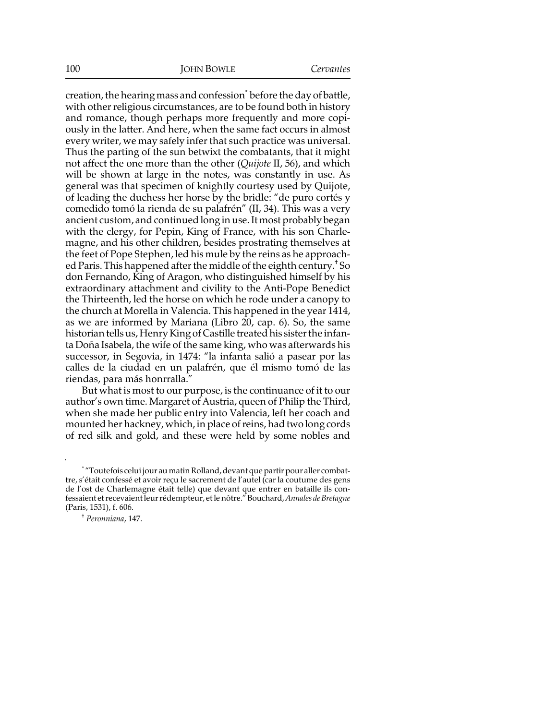creation, the hearing mass and confession $\check{ }$  before the day of battle, with other religious circumstances, are to be found both in history and romance, though perhaps more frequently and more copiously in the latter. And here, when the same fact occurs in almost every writer, we may safely infer that such practice was universal. Thus the parting of the sun betwixt the combatants, that it might not affect the one more than the other (*Quijote* II, 56), and which will be shown at large in the notes, was constantly in use. As general was that specimen of knightly courtesy used by Quijote, of leading the duchess her horse by the bridle: "de puro cortés y comedido tomó la rienda de su palafrén" (II, 34). This was a very ancient custom, and continued long in use. It most probably began with the clergy, for Pepin, King of France, with his son Charlemagne, and his other children, besides prostrating themselves at the feet of Pope Stephen, led his mule by the reins as he approached Paris. This happened after the middle of the eighth century.† So don Fernando, King of Aragon, who distinguished himself by his extraordinary attachment and civility to the Anti-Pope Benedict the Thirteenth, led the horse on which he rode under a canopy to the church at Morella in Valencia. This happened in the year 1414, as we are informed by Mariana (Libro  $20$ , cap. 6). So, the same historian tells us, Henry King of Castille treated his sister the infanta Doña Isabela, the wife of the same king, who was afterwards his successor, in Segovia, in 1474: "la infanta salió a pasear por las calles de la ciudad en un palafrén, que él mismo tomó de las riendas, para más honrralla."

But what is most to our purpose, is the continuance of it to our author's own time. Margaret of Austria, queen of Philip the Third, when she made her public entry into Valencia, left her coach and mounted her hackney, which, in place of reins, had two long cords of red silk and gold, and these were held by some nobles and

<sup>\*</sup> "Toutefois celui jour au matin Rolland, devant que partir pour aller combattre, s'était confessé et avoir reçu le sacrement de l'autel (car la coutume des gens de l'ost de Charlemagne était telle) que devant que entrer en bataille ils confessaient et recevaient leur rédempteur, et le nôtre." Bouchard, *Annales de Bretagne* (Paris, 1531), f. 606.

<sup>†</sup> *Peronniana*, 147.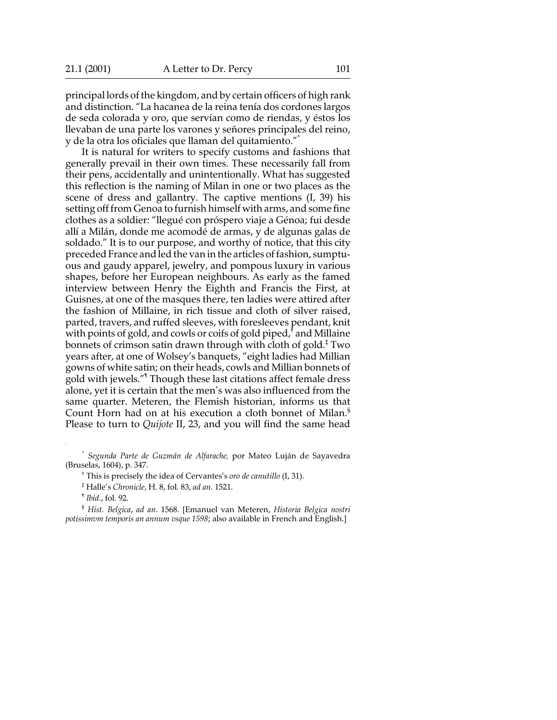principal lords of the kingdom, and by certain officers of high rank and distinction. "La hacanea de la reina tenía dos cordones largos de seda colorada y oro, que servían como de riendas, y éstos los llevaban de una parte los varones y señores principales del reino, y de la otra los oficiales que llaman del quitamiento."\*

It is natural for writers to specify customs and fashions that generally prevail in their own times. These necessarily fall from their pens, accidentally and unintentionally. What has suggested this reflection is the naming of Milan in one or two places as the scene of dress and gallantry. The captive mentions (I, 39) his setting off from Genoa to furnish himself with arms, and some fine clothes as a soldier: "llegué con próspero viaje a Génoa; fui desde allí a Milán, donde me acomodé de armas, y de algunas galas de soldado." It is to our purpose, and worthy of notice, that this city preceded France and led the van in the articles of fashion, sumptuous and gaudy apparel, jewelry, and pompous luxury in various shapes, before her European neighbours. As early as the famed interview between Henry the Eighth and Francis the First, at Guisnes, at one of the masques there, ten ladies were attired after the fashion of Millaine, in rich tissue and cloth of silver raised, parted, travers, and ruffed sleeves, with foresleeves pendant, knit with points of gold, and cowls or coifs of gold piped, $^\dagger$  and Millaine bonnets of crimson satin drawn through with cloth of gold.‡ Two years after, at one of Wolsey's banquets, "eight ladies had Millian gowns of white satin; on their heads, cowls and Millian bonnets of gold with jewels."¶ Though these last citations affect female dress alone, yet it is certain that the men's was also influenced from the same quarter. Meteren, the Flemish historian, informs us that Count Horn had on at his execution a cloth bonnet of Milan.§ Please to turn to *Quijote* II, 23, and you will find the same head

\* *Segunda Parte de Guzmán de Alfarache,* por Mateo Luján de Sayavedra (Bruselas, 1604), p. 347.

† This is precisely the idea of Cervantes's *oro de canutillo* (I, 31).

‡ Halle's *Chronicle*, H. 8, fol. 83, *ad an*. 1521.

¶ *Ibid*., fol. 92.

§ *Hist. Belgica*, *ad an*. 1568. [Emanuel van Meteren, *Historia Belgica nostri potissimvm temporis an annum vsque 1598*; also available in French and English.]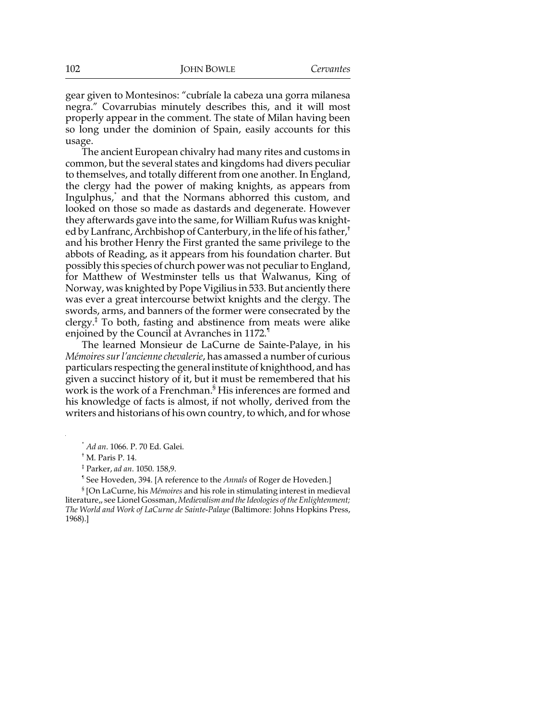gear given to Montesinos: "cubríale la cabeza una gorra milanesa negra." Covarrubias minutely describes this, and it will most properly appear in the comment. The state of Milan having been so long under the dominion of Spain, easily accounts for this usage.

The ancient European chivalry had many rites and customs in common, but the several states and kingdoms had divers peculiar to themselves, and totally different from one another. In England, the clergy had the power of making knights, as appears from Ingulphus,\* and that the Normans abhorred this custom, and looked on those so made as dastards and degenerate. However they afterwards gave into the same, for William Rufus was knighted by Lanfranc, Archbishop of Canterbury, in the life of his father,† and his brother Henry the First granted the same privilege to the abbots of Reading, as it appears from his foundation charter. But possibly this species of church power was not peculiar to England, for Matthew of Westminster tells us that Walwanus, King of Norway, was knighted by Pope Vigilius in 533. But anciently there was ever a great intercourse betwixt knights and the clergy. The swords, arms, and banners of the former were consecrated by the clergy.‡ To both, fasting and abstinence from meats were alike enjoined by the Council at Avranches in 1172.¶

The learned Monsieur de LaCurne de Sainte-Palaye, in his *Mémoires sur l'ancienne chevalerie*, has amassed a number of curious particulars respecting the general institute of knighthood, and has given a succinct history of it, but it must be remembered that his work is the work of a Frenchman.§ His inferences are formed and his knowledge of facts is almost, if not wholly, derived from the writers and historians of his own country, to which, and for whose

§ [On LaCurne, his *Mémoires* and his role in stimulating interest in medieval literature,, see Lionel Gossman, *Medievalism and the Ideologies of the Enlightenment; The World and Work of LaCurne de Sainte-Palaye* (Baltimore: Johns Hopkins Press, 1968).]

<sup>\*</sup> *Ad an*. 1066. P. 70 Ed. Galei.

<sup>†</sup> M. Paris P. 14.

<sup>‡</sup> Parker, *ad an*. 1050. 158,9.

<sup>¶</sup> See Hoveden, 394. [A reference to the *Annals* of Roger de Hoveden.]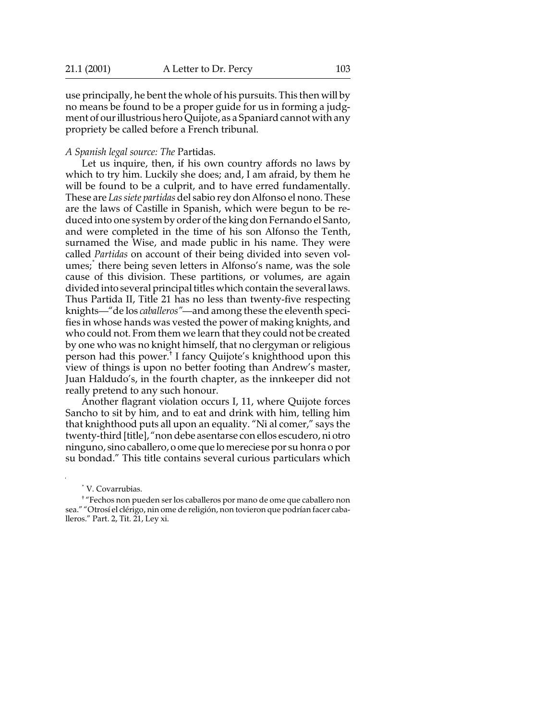use principally, he bent the whole of his pursuits. This then will by no means be found to be a proper guide for us in forming a judgment of our illustrious hero Quijote, as a Spaniard cannot with any propriety be called before a French tribunal.

#### *A Spanish legal source: The* Partidas.

Let us inquire, then, if his own country affords no laws by which to try him. Luckily she does; and, I am afraid, by them he will be found to be a culprit, and to have erred fundamentally. These are *Las siete partidas* del sabio rey don Alfonso el nono. These are the laws of Castille in Spanish, which were begun to be reduced into one system by order of the king don Fernando el Santo, and were completed in the time of his son Alfonso the Tenth, surnamed the Wise, and made public in his name. They were called *Partidas* on account of their being divided into seven volumes;\* there being seven letters in Alfonso's name, was the sole cause of this division. These partitions, or volumes, are again divided into several principal titles which contain the several laws. Thus Partida II, Title 21 has no less than twenty-five respecting knights—"de los *caballeros"*—and among these the eleventh specifies in whose hands was vested the power of making knights, and who could not. From them we learn that they could not be created by one who was no knight himself, that no clergyman or religious person had this power.† I fancy Quijote's knighthood upon this view of things is upon no better footing than Andrew's master, Juan Haldudo's, in the fourth chapter, as the innkeeper did not really pretend to any such honour.

Another flagrant violation occurs I, 11, where Quijote forces Sancho to sit by him, and to eat and drink with him, telling him that knighthood puts all upon an equality. "Ni al comer," says the twenty-third [title], "non debe asentarse con ellos escudero, ni otro ninguno, sino caballero, o ome que lo mereciese por su honra o por su bondad." This title contains several curious particulars which

<sup>\*</sup> V. Covarrubias.

<sup>†</sup> "Fechos non pueden ser los caballeros por mano de ome que caballero non sea." "Otrosí el clérigo, nin ome de religión, non tovieron que podrían facer caballeros." Part. 2, Tit. 21, Ley xi.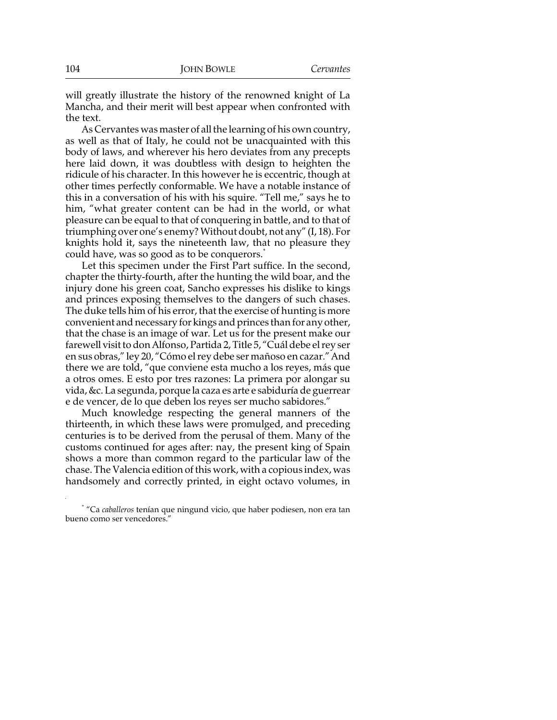will greatly illustrate the history of the renowned knight of La Mancha, and their merit will best appear when confronted with the text.

As Cervantes was master of all the learning of his own country, as well as that of Italy, he could not be unacquainted with this body of laws, and wherever his hero deviates from any precepts here laid down, it was doubtless with design to heighten the ridicule of his character. In this however he is eccentric, though at other times perfectly conformable. We have a notable instance of this in a conversation of his with his squire. "Tell me," says he to him, "what greater content can be had in the world, or what pleasure can be equal to that of conquering in battle, and to that of triumphing over one's enemy? Without doubt, not any" (I, 18). For knights hold it, says the nineteenth law, that no pleasure they could have, was so good as to be conquerors.<sup>†</sup>

Let this specimen under the First Part suffice. In the second, chapter the thirty-fourth, after the hunting the wild boar, and the injury done his green coat, Sancho expresses his dislike to kings and princes exposing themselves to the dangers of such chases. The duke tells him of his error, that the exercise of hunting is more convenient and necessary for kings and princes than for any other, that the chase is an image of war. Let us for the present make our farewell visit to don Alfonso, Partida 2, Title 5, "Cuál debe el rey ser en sus obras," ley 20, "Cómo el rey debe ser mañoso en cazar." And there we are told, "que conviene esta mucho a los reyes, más que a otros omes. E esto por tres razones: La primera por alongar su vida, &c. La segunda, porque la caza es arte e sabiduría de guerrear e de vencer, de lo que deben los reyes ser mucho sabidores."

Much knowledge respecting the general manners of the thirteenth, in which these laws were promulged, and preceding centuries is to be derived from the perusal of them. Many of the customs continued for ages after: nay, the present king of Spain shows a more than common regard to the particular law of the chase. The Valencia edition of this work, with a copious index, was handsomely and correctly printed, in eight octavo volumes, in

<sup>\*</sup> "Ca *caballeros* tenían que ningund vicio, que haber podiesen, non era tan bueno como ser vencedores."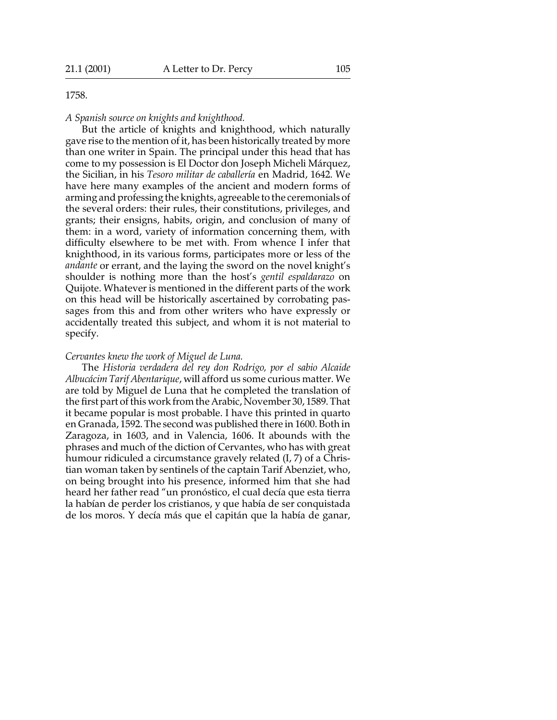#### 1758.

*A Spanish source on knights and knighthood.*

But the article of knights and knighthood, which naturally gave rise to the mention of it, has been historically treated by more than one writer in Spain. The principal under this head that has come to my possession is El Doctor don Joseph Micheli Márquez, the Sicilian, in his *Tesoro militar de caballería* en Madrid, 1642. We have here many examples of the ancient and modern forms of arming and professing the knights, agreeable to the ceremonials of the several orders: their rules, their constitutions, privileges, and grants; their ensigns, habits, origin, and conclusion of many of them: in a word, variety of information concerning them, with difficulty elsewhere to be met with. From whence I infer that knighthood, in its various forms, participates more or less of the *andante* or errant, and the laying the sword on the novel knight's shoulder is nothing more than the host's *gentil espaldarazo* on Quijote. Whatever is mentioned in the different parts of the work on this head will be historically ascertained by corrobating passages from this and from other writers who have expressly or accidentally treated this subject, and whom it is not material to specify.

### *Cervantes knew the work of Miguel de Luna.*

The *Historia verdadera del rey don Rodrigo, por el sabio Alcaide Albucácim Tarif Abentarique*, will afford us some curious matter. We are told by Miguel de Luna that he completed the translation of the first part of this work from the Arabic, November 30, 1589. That it became popular is most probable. I have this printed in quarto en Granada, 1592. The second was published there in 1600. Both in Zaragoza, in 1603, and in Valencia, 1606. It abounds with the phrases and much of the diction of Cervantes, who has with great humour ridiculed a circumstance gravely related (I, 7) of a Christian woman taken by sentinels of the captain Tarif Abenziet, who, on being brought into his presence, informed him that she had heard her father read "un pronóstico, el cual decía que esta tierra la habían de perder los cristianos, y que había de ser conquistada de los moros. Y decía más que el capitán que la había de ganar,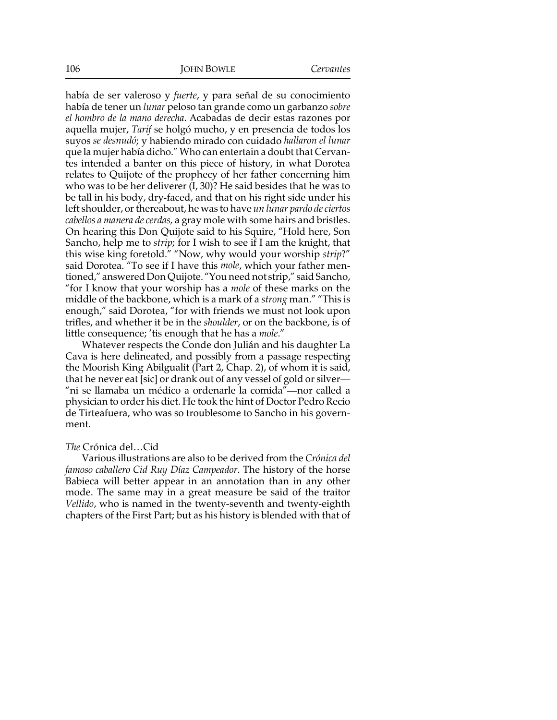había de ser valeroso y *fuerte*, y para señal de su conocimiento había de tener un *lunar* peloso tan grande como un garbanzo *sobre el hombro de la mano derecha*. Acabadas de decir estas razones por aquella mujer, *Tarif* se holgó mucho, y en presencia de todos los suyos *se desnudó*; y habiendo mirado con cuidado *hallaron el lunar* que la mujer había dicho." Who can entertain a doubt that Cervantes intended a banter on this piece of history, in what Dorotea relates to Quijote of the prophecy of her father concerning him who was to be her deliverer (I, 30)? He said besides that he was to be tall in his body, dry-faced, and that on his right side under his left shoulder, or thereabout, he was to have *un lunar pardo de ciertos cabellos a manera de cerdas,* a gray mole with some hairs and bristles. On hearing this Don Quijote said to his Squire, "Hold here, Son Sancho, help me to *strip*; for I wish to see if I am the knight, that this wise king foretold." "Now, why would your worship *strip*?" said Dorotea. "To see if I have this *mole*, which your father mentioned," answered Don Quijote. "You need not strip," said Sancho, "for I know that your worship has a *mole* of these marks on the middle of the backbone, which is a mark of a *strong* man." "This is enough," said Dorotea, "for with friends we must not look upon trifles, and whether it be in the *shoulder*, or on the backbone, is of little consequence; 'tis enough that he has a *mole*."

Whatever respects the Conde don Julián and his daughter La Cava is here delineated, and possibly from a passage respecting the Moorish King Abilgualit (Part 2, Chap. 2), of whom it is said, that he never eat [sic] or drank out of any vessel of gold or silver— "ni se llamaba un médico a ordenarle la comida"—nor called a physician to order his diet. He took the hint of Doctor Pedro Recio de Tirteafuera, who was so troublesome to Sancho in his government.

### *The* Crónica del…Cid

Various illustrations are also to be derived from the *Crónica del famoso caballero Cid Ruy Díaz Campeador*. The history of the horse Babieca will better appear in an annotation than in any other mode. The same may in a great measure be said of the traitor *Vellido*, who is named in the twenty-seventh and twenty-eighth chapters of the First Part; but as his history is blended with that of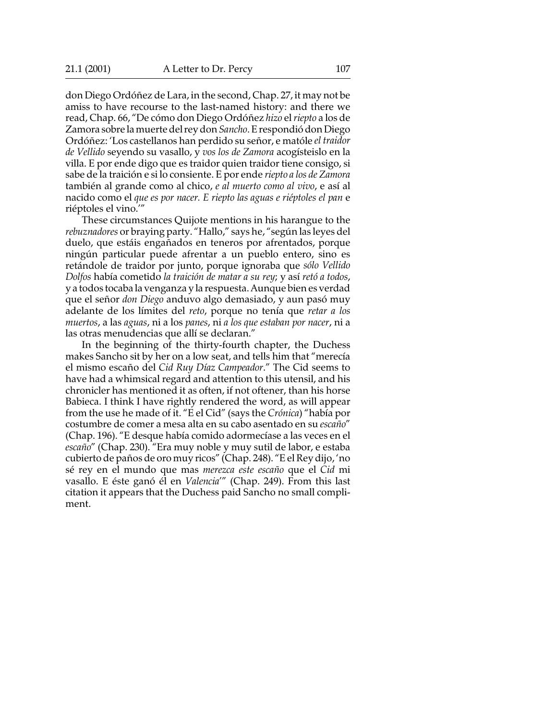don Diego Ordóñez de Lara, in the second, Chap. 27, it may not be amiss to have recourse to the last-named history: and there we read, Chap. 66, "De cómo don Diego Ordóñez *hizo* el *riepto* a los de Zamora sobre la muerte del rey don *Sancho*. E respondió don Diego Ordóñez: 'Los castellanos han perdido su señor, e matóle *el traidor de Vellido* seyendo su vasallo, y *vos los de Zamora* acogísteislo en la villa. E por ende digo que es traidor quien traidor tiene consigo, si sabe de la traición e si lo consiente. E por ende *riepto a los de Zamora* también al grande como al chico, *e al muerto como al vivo*, e así al nacido como el *que es por nacer. E riepto las aguas e riéptoles el pan* e riéptoles el vino.'"

These circumstances Quijote mentions in his harangue to the *rebuznadores* or braying party. "Hallo," says he, "según las leyes del duelo, que estáis engañados en teneros por afrentados, porque ningún particular puede afrentar a un pueblo entero, sino es retándole de traidor por junto, porque ignoraba que *sólo Vellido Dolfos* había cometido *la traición de matar a su rey*; y así *retó a todos*, y a todos tocaba la venganza y la respuesta. Aunque bien es verdad que el señor *don Diego* anduvo algo demasiado, y aun pasó muy adelante de los límites del *reto*, porque no tenía que *retar a los muertos*, a las *aguas*, ni a los *panes*, ni *a los que estaban por nacer*, ni a las otras menudencias que allí se declaran."

In the beginning of the thirty-fourth chapter, the Duchess makes Sancho sit by her on a low seat, and tells him that "merecía el mismo escaño del *Cid Ruy Díaz Campeador*." The Cid seems to have had a whimsical regard and attention to this utensil, and his chronicler has mentioned it as often, if not oftener, than his horse Babieca. I think I have rightly rendered the word, as will appear from the use he made of it. "E el Cid" (says the *Crónica*) "había por costumbre de comer a mesa alta en su cabo asentado en su *escaño*" (Chap. 196). "E desque había comido adormecíase a las veces en el *escaño*" (Chap. 230). "Era muy noble y muy sutil de labor, e estaba cubierto de paños de oro muy ricos" (Chap. 248). "E el Rey dijo, 'no sé rey en el mundo que mas *merezca este escaño* que el *Cid* mi vasallo. E éste ganó él en *Valencia*'" (Chap. 249). From this last citation it appears that the Duchess paid Sancho no small compliment.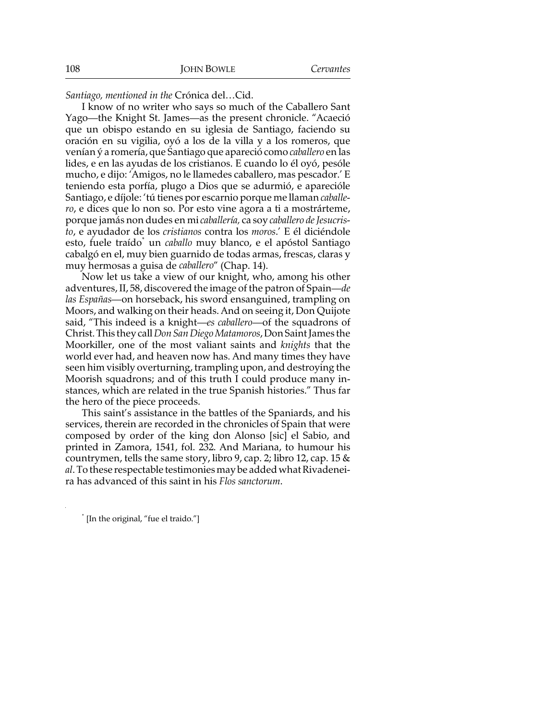*Santiago, mentioned in the* Crónica del…Cid.

I know of no writer who says so much of the Caballero Sant Yago—the Knight St. James—as the present chronicle. "Acaeció que un obispo estando en su iglesia de Santiago, faciendo su oración en su vigilia, oyó a los de la villa y a los romeros, que venían ý a romería, que Santiago que apareció como *caballero* en las lides, e en las ayudas de los cristianos. E cuando lo él oyó, pesóle mucho, e dijo: 'Amigos, no le llamedes caballero, mas pescador.' E teniendo esta porfía, plugo a Dios que se adurmió, e aparecióle Santiago, e díjole: 'tú tienes por escarnio porque me llaman *caballero*, e dices que lo non so. Por esto vine agora a ti a mostrárteme, porque jamás non dudes en mi *caballería,* ca soy *caballero de Jesucristo*, e ayudador de los *cristianos* contra los *moros*.' E él diciéndole esto, fuele traído<sup>\*</sup> un *caballo* muy blanco, e el apóstol Santiago cabalgó en el, muy bien guarnido de todas armas, frescas, claras y muy hermosas a guisa de *caballero*" (Chap. 14).

Now let us take a view of our knight, who, among his other adventures, II, 58, discovered the image of the patron of Spain—*de las Españas—*on horseback, his sword ensanguined, trampling on Moors, and walking on their heads. And on seeing it, Don Quijote said, "This indeed is a knight—*es caballero*—of the squadrons of Christ. This they call *Don San Diego Matamoros*, Don Saint James the Moorkiller, one of the most valiant saints and *knights* that the world ever had, and heaven now has. And many times they have seen him visibly overturning, trampling upon, and destroying the Moorish squadrons; and of this truth I could produce many instances, which are related in the true Spanish histories." Thus far the hero of the piece proceeds.

This saint's assistance in the battles of the Spaniards, and his services, therein are recorded in the chronicles of Spain that were composed by order of the king don Alonso [sic] el Sabio, and printed in Zamora, 1541, fol. 232. And Mariana, to humour his countrymen, tells the same story, libro 9, cap. 2; libro 12, cap. 15  $\&$ *al*. To these respectable testimonies may be added what Rivadeneira has advanced of this saint in his *Flos sanctorum*.

<sup>\*</sup> [In the original, "fue el traido."]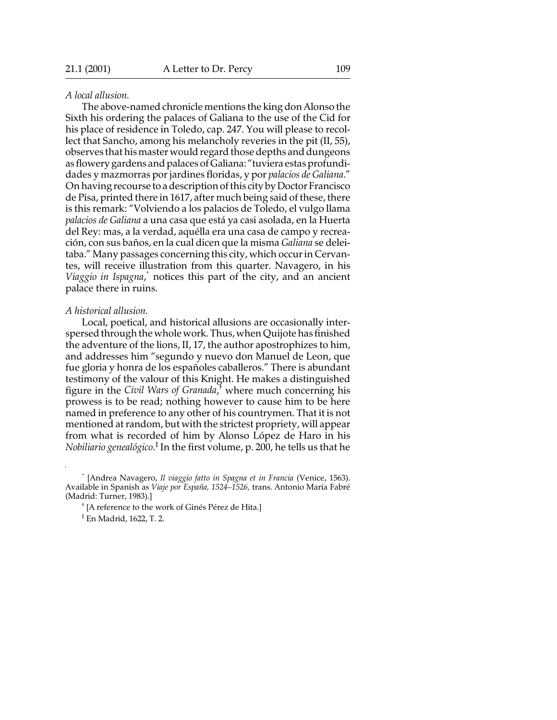### *A local allusion.*

The above-named chronicle mentions the king don Alonso the Sixth his ordering the palaces of Galiana to the use of the Cid for his place of residence in Toledo, cap. 247. You will please to recollect that Sancho, among his melancholy reveries in the pit (II, 55), observes that his master would regard those depths and dungeons as flowery gardens and palaces of Galiana: "tuviera estas profundidades y mazmorras por jardines floridas, y por *palacios de Galiana*." On having recourse to a description of this city by Doctor Francisco de Pisa, printed there in 1617, after much being said of these, there is this remark: "Volviendo a los palacios de Toledo, el vulgo llama *palacios de Galiana* a una casa que está ya casi asolada, en la Huerta del Rey: mas, a la verdad, aquélla era una casa de campo y recreación, con sus baños, en la cual dicen que la misma *Galiana* se deleitaba." Many passages concerning this city, which occur in Cervantes, will receive illustration from this quarter. Navagero, in his Viaggio in Ispagna,<sup>\*</sup> notices this part of the city, and an ancient palace there in ruins.

#### *A historical allusion.*

Local, poetical, and historical allusions are occasionally interspersed through the whole work. Thus, when Quijote has finished the adventure of the lions, II, 17, the author apostrophizes to him, and addresses him "segundo y nuevo don Manuel de Leon, que fue gloria y honra de los españoles caballeros." There is abundant testimony of the valour of this Knight. He makes a distinguished figure in the *Civil Wars of Granada*,<sup>†</sup> where much concerning his prowess is to be read; nothing however to cause him to be here named in preference to any other of his countrymen. That it is not mentioned at random, but with the strictest propriety, will appear from what is recorded of him by Alonso López de Haro in his *Nobiliario genealógico*. ‡ In the first volume, p. 200, he tells us that he

<sup>\*</sup> [Andrea Navagero, *Il viaggio fatto in Spagna et in Francia* (Venice, 1563). Available in Spanish as *Viaje por España, 1524–1526,* trans. Antonio María Fabré (Madrid: Turner, 1983).]

<sup>†</sup> [A reference to the work of Ginés Pérez de Hita.]

<sup>‡</sup> En Madrid, 1622, T. 2.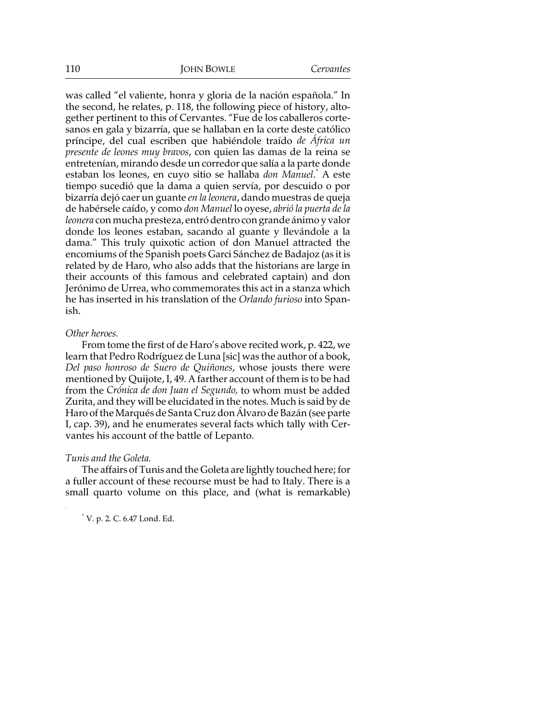was called "el valiente, honra y gloria de la nación española." In the second, he relates, p. 118, the following piece of history, altogether pertinent to this of Cervantes. "Fue de los caballeros cortesanos en gala y bizarría, que se hallaban en la corte deste católico príncipe, del cual escriben que habiéndole traído *de África un presente de leones muy bravos*, con quien las damas de la reina se entretenían, mirando desde un corredor que salía a la parte donde estaban los leones, en cuyo sitio se hallaba don Manuel.<sup>\*</sup> A este tiempo sucedió que la dama a quien servía, por descuido o por bizarría dejó caer un guante *en la leonera*, dando muestras de queja de habérsele caído, y como *don Manuel* lo oyese, *abrió la puerta de la leonera* con mucha presteza, entró dentro con grande ánimo y valor donde los leones estaban, sacando al guante y llevándole a la dama." This truly quixotic action of don Manuel attracted the encomiums of the Spanish poets Garci Sánchez de Badajoz (as it is related by de Haro, who also adds that the historians are large in their accounts of this famous and celebrated captain) and don Jerónimo de Urrea, who commemorates this act in a stanza which he has inserted in his translation of the *Orlando furioso* into Spanish.

#### *Other heroes.*

From tome the first of de Haro's above recited work, p. 422, we learn that Pedro Rodríguez de Luna [sic] was the author of a book, *Del paso honroso de Suero de Quiñones*, whose jousts there were mentioned by Quijote, I, 49. A farther account of them is to be had from the *Crónica de don Juan el Segundo,* to whom must be added Zurita, and they will be elucidated in the notes. Much is said by de Haro of the Marqués de Santa Cruz don Álvaro de Bazán (see parte I, cap. 39), and he enumerates several facts which tally with Cervantes his account of the battle of Lepanto.

### *Tunis and the Goleta.*

The affairs of Tunis and the Goleta are lightly touched here; for a fuller account of these recourse must be had to Italy. There is a small quarto volume on this place, and (what is remarkable)

\* V. p. 2. C. 6.47 Lond. Ed.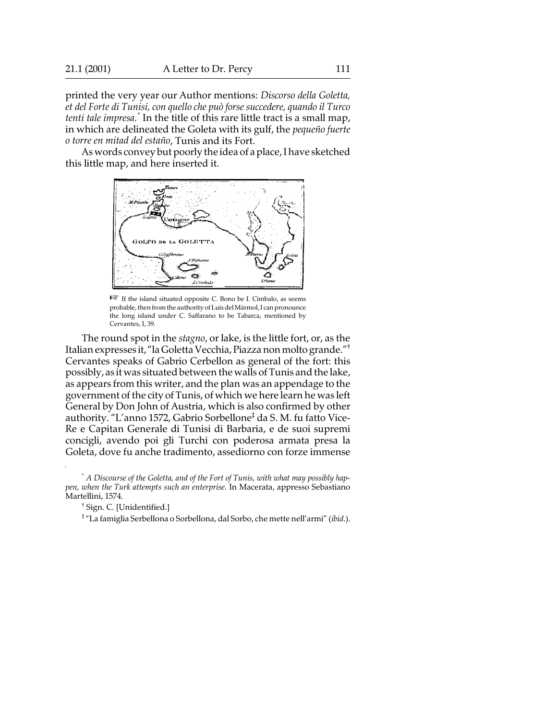printed the very year our Author mentions: *Discorso della Goletta, et del Forte di Tunisi, con quello che può forse succedere, quando il Turco tenti tale impresa.\** In the title of this rare little tract is a small map, in which are delineated the Goleta with its gulf, the *pequeño fuerte o torre en mitad del estaño*, Tunis and its Fort.

As words convey but poorly the idea of a place, I have sketched this little map, and here inserted it.



 $E^*$  If the island situated opposite C. Bono be I. Cimbalo, as seems probable, then from the authority of Luis del Mármol, I can pronounce the long island under C. Saffarano to be Tabarca, mentioned by Cervantes, I, 39.

The round spot in the *stagno*, or lake, is the little fort, or, as the Italian expresses it, "la Goletta Vecchia, Piazza non molto grande."† Cervantes speaks of Gabrio Cerbellon as general of the fort: this possibly, as it was situated between the walls of Tunis and the lake, as appears from this writer, and the plan was an appendage to the government of the city of Tunis, of which we here learn he was left General by Don John of Austria, which is also confirmed by other authority. "L'anno 1572, Gabrio Sorbellone<sup>‡</sup> da S. M. fu fatto Vice-Re e Capitan Generale di Tunisi di Barbaria, e de suoi supremi concigli, avendo poi gli Turchi con poderosa armata presa la Goleta, dove fu anche tradimento, assediorno con forze immense

\* *A Discourse of the Goletta, and of the Fort of Tunis, with what may possibly happen, when the Turk attempts such an enterprise*. In Macerata, appresso Sebastiano Martellini, 1574.

‡ "La famiglia Serbellona o Sorbellona, dal Sorbo, che mette nell'armi" (*ibid*.).

<sup>†</sup> Sign. C. [Unidentified.]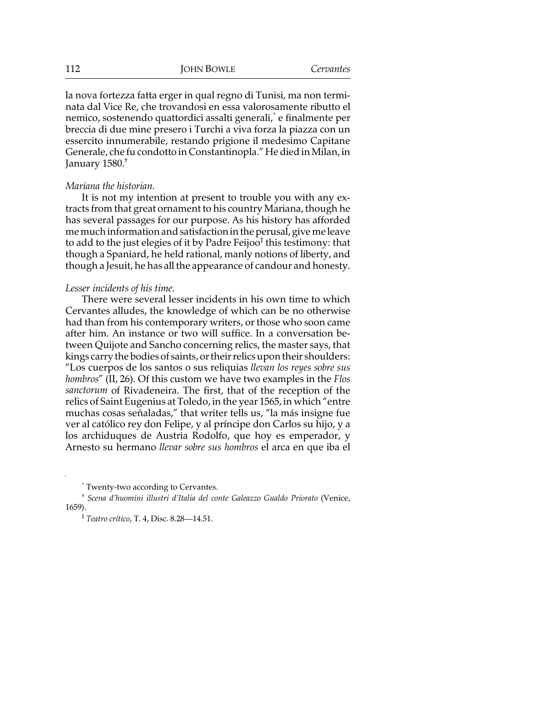la nova fortezza fatta erger in qual regno di Tunisi, ma non terminata dal Vice Re, che trovandosi en essa valorosamente ributto el nemico*,* sostenendo quattordici assalti generali, $\dot{\ }$  e finalmente per breccia di due mine presero i Turchi a viva forza la piazza con un essercito innumerabile, restando prigione il medesimo Capitane Generale, che fu condotto in Constantinopla." He died in Milan, in January 1580.†

#### *Mariana the historian.*

It is not my intention at present to trouble you with any extracts from that great ornament to his country Mariana, though he has several passages for our purpose. As his history has afforded me much information and satisfaction in the perusal, give me leave to add to the just elegies of it by Padre Feijoo $^\ddag$  this testimony: that though a Spaniard, he held rational, manly notions of liberty, and though a Jesuit, he has all the appearance of candour and honesty.

#### *Lesser incidents of his time.*

There were several lesser incidents in his own time to which Cervantes alludes, the knowledge of which can be no otherwise had than from his contemporary writers, or those who soon came after him. An instance or two will suffice. In a conversation between Quijote and Sancho concerning relics, the master says, that kings carry the bodies of saints, or their relics upon their shoulders: "Los cuerpos de los santos o sus reliquias *llevan los reyes sobre sus hombros*" (II, 26). Of this custom we have two examples in the *Flos sanctorum* of Rivadeneira. The first, that of the reception of the relics of Saint Eugenius at Toledo, in the year 1565, in which "entre muchas cosas señaladas," that writer tells us, "la más insigne fue ver al católico rey don Felipe, y al príncipe don Carlos su hijo, y a los archiduques de Austria Rodolfo, que hoy es emperador, y Arnesto su hermano *llevar sobre sus hombros* el arca en que iba el

\* Twenty-two according to Cervantes.

<sup>†</sup> *Scena d'huomini illustri d'Italia del conte Galeazzo Gualdo Priorato* (Venice, 1659).

<sup>‡</sup> *Teatro crítico*, T. 4, Disc. 8.28—14.51.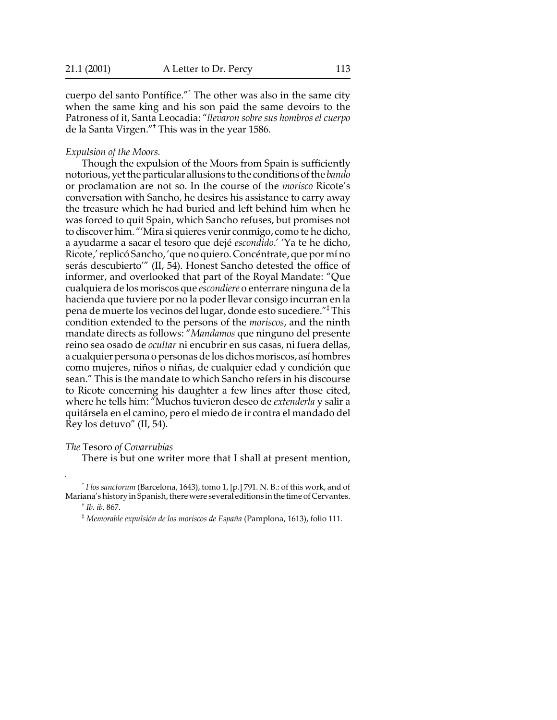cuerpo del santo Pontífice."\* The other was also in the same city when the same king and his son paid the same devoirs to the Patroness of it, Santa Leocadia: "*llevaron sobre sus hombros el cuerpo* de la Santa Virgen."† This was in the year 1586.

#### *Expulsion of the Moors.*

Though the expulsion of the Moors from Spain is sufficiently notorious, yet the particular allusions to the conditions of the *bando* or proclamation are not so. In the course of the *morisco* Ricote's conversation with Sancho, he desires his assistance to carry away the treasure which he had buried and left behind him when he was forced to quit Spain, which Sancho refuses, but promises not to discover him. "'Mira si quieres venir conmigo, como te he dicho, a ayudarme a sacar el tesoro que dejé *escondido*.' 'Ya te he dicho, Ricote,' replicó Sancho, 'que no quiero. Concéntrate, que por mí no serás descubierto'" (II, 54). Honest Sancho detested the office of informer, and overlooked that part of the Royal Mandate: "Que cualquiera de los moriscos que *escondiere* o enterrare ninguna de la hacienda que tuviere por no la poder llevar consigo incurran en la pena de muerte los vecinos del lugar, donde esto sucediere."‡ This condition extended to the persons of the *moriscos*, and the ninth mandate directs as follows: "*Mandamos* que ninguno del presente reino sea osado de *ocultar* ni encubrir en sus casas, ni fuera dellas, a cualquier persona o personas de los dichos moriscos, así hombres como mujeres, niños o niñas, de cualquier edad y condición que sean." This is the mandate to which Sancho refers in his discourse to Ricote concerning his daughter a few lines after those cited, where he tells him: "Muchos tuvieron deseo de *extenderla* y salir a quitársela en el camino, pero el miedo de ir contra el mandado del Rey los detuvo" (II, 54).

*The* Tesoro *of Covarrubias*

There is but one writer more that I shall at present mention,

\* *Flos sanctorum* (Barcelona, 1643), tomo 1, [p.] 791. N. B.: of this work, and of Mariana's history in Spanish, there were several editions in the time of Cervantes.

† *Ib*. *ib*. 867.

‡ *Memorable expulsión de los moriscos de España* (Pamplona, 1613), folio 111.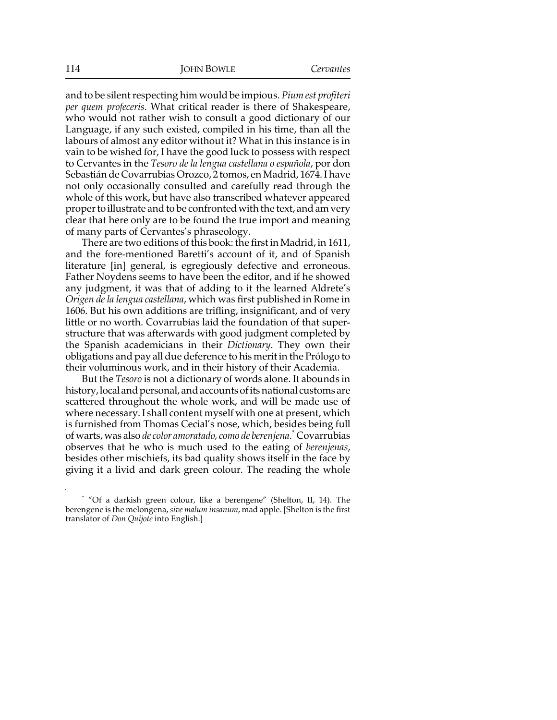and to be silent respecting him would be impious. *Pium est profiteri per quem profeceris*. What critical reader is there of Shakespeare, who would not rather wish to consult a good dictionary of our Language, if any such existed, compiled in his time, than all the labours of almost any editor without it? What in this instance is in vain to be wished for, I have the good luck to possess with respect to Cervantes in the *Tesoro de la lengua castellana o española*, por don Sebastián de Covarrubias Orozco, 2 tomos, en Madrid, 1674. I have not only occasionally consulted and carefully read through the whole of this work, but have also transcribed whatever appeared proper to illustrate and to be confronted with the text, and am very clear that here only are to be found the true import and meaning of many parts of Cervantes's phraseology.

There are two editions of this book: the first in Madrid, in 1611, and the fore-mentioned Baretti's account of it, and of Spanish literature [in] general, is egregiously defective and erroneous. Father Noydens seems to have been the editor, and if he showed any judgment, it was that of adding to it the learned Aldrete's *Origen de la lengua castellana*, which was first published in Rome in 1606. But his own additions are trifling, insignificant, and of very little or no worth. Covarrubias laid the foundation of that superstructure that was afterwards with good judgment completed by the Spanish academicians in their *Dictionary*. They own their obligations and pay all due deference to his merit in the Prólogo to their voluminous work, and in their history of their Academia.

But the *Tesoro* is not a dictionary of words alone. It abounds in history, local and personal, and accounts of its national customs are scattered throughout the whole work, and will be made use of where necessary. I shall content myself with one at present, which is furnished from Thomas Cecial's nose, which, besides being full of warts, was also *de color amoratado, como de berenjena*. \* Covarrubias observes that he who is much used to the eating of *berenjenas*, besides other mischiefs, its bad quality shows itself in the face by giving it a livid and dark green colour. The reading the whole

<sup>\*</sup> "Of a darkish green colour, like a berengene" (Shelton, II, 14). The berengene is the melongena, *sive malum insanum*, mad apple. [Shelton is the first translator of *Don Quijote* into English.]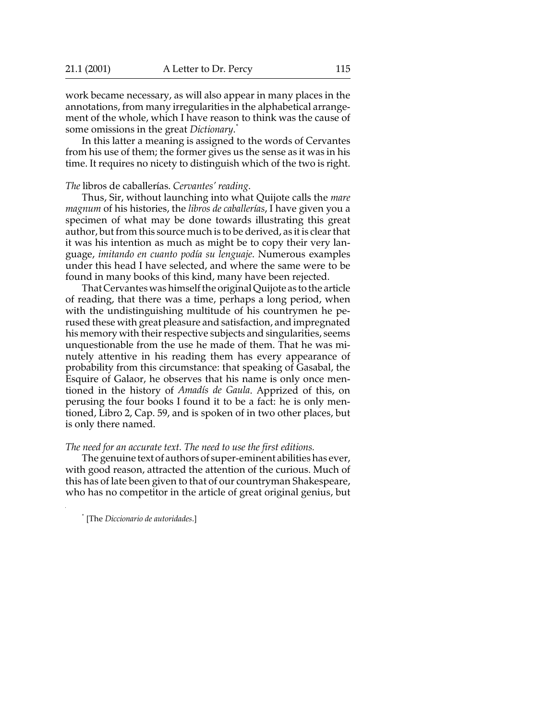work became necessary, as will also appear in many places in the annotations, from many irregularities in the alphabetical arrangement of the whole, which I have reason to think was the cause of some omissions in the great *Dictionary*. \*

In this latter a meaning is assigned to the words of Cervantes from his use of them; the former gives us the sense as it was in his time. It requires no nicety to distinguish which of the two is right.

*The* libros de caballerías. *Cervantes' reading*.

Thus, Sir, without launching into what Quijote calls the *mare magnum* of his histories, the *libros de caballerías*, I have given you a specimen of what may be done towards illustrating this great author, but from this source much is to be derived, as it is clear that it was his intention as much as might be to copy their very language, *imitando en cuanto podía su lenguaje*. Numerous examples under this head I have selected, and where the same were to be found in many books of this kind, many have been rejected.

That Cervantes was himself the original Quijote as to the article of reading, that there was a time, perhaps a long period, when with the undistinguishing multitude of his countrymen he perused these with great pleasure and satisfaction, and impregnated his memory with their respective subjects and singularities, seems unquestionable from the use he made of them. That he was minutely attentive in his reading them has every appearance of probability from this circumstance: that speaking of Gasabal, the Esquire of Galaor, he observes that his name is only once mentioned in the history of *Amadís de Gaula*. Apprized of this, on perusing the four books I found it to be a fact: he is only mentioned, Libro 2, Cap. 59, and is spoken of in two other places, but is only there named.

#### *The need for an accurate text. The need to use the first editions.*

The genuine text of authors of super-eminent abilities has ever, with good reason, attracted the attention of the curious. Much of this has of late been given to that of our countryman Shakespeare, who has no competitor in the article of great original genius, but

\* [The *Diccionario de autoridades*.]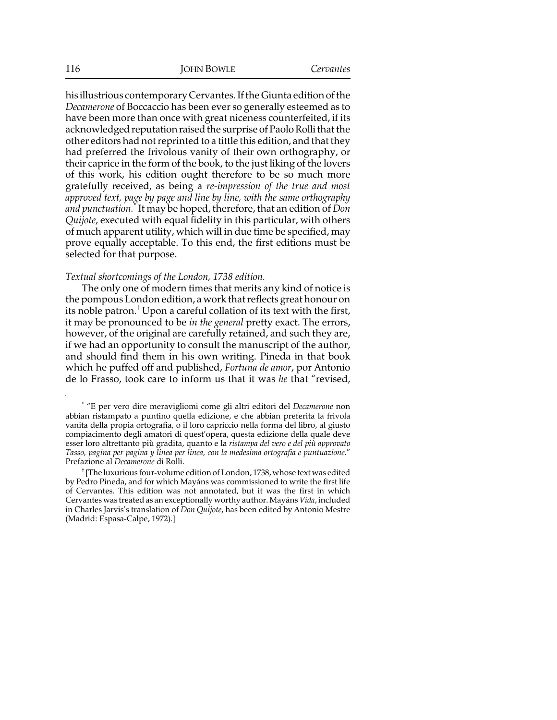his illustrious contemporary Cervantes. If the Giunta edition of the *Decamerone* of Boccaccio has been ever so generally esteemed as to have been more than once with great niceness counterfeited, if its acknowledged reputation raised the surprise of Paolo Rolli that the other editors had not reprinted to a tittle this edition, and that they had preferred the frivolous vanity of their own orthography, or their caprice in the form of the book, to the just liking of the lovers of this work, his edition ought therefore to be so much more gratefully received, as being a *re-impression of the true and most approved text, page by page and line by line, with the same orthography and punctuation.*\* It may be hoped, therefore, that an edition of *Don Quijote*, executed with equal fidelity in this particular, with others of much apparent utility, which will in due time be specified, may prove equally acceptable. To this end, the first editions must be selected for that purpose.

## *Textual shortcomings of the London, 1738 edition.*

The only one of modern times that merits any kind of notice is the pompous London edition, a work that reflects great honour on its noble patron. $^\dagger$  Upon a careful collation of its text with the first, it may be pronounced to be *in the general* pretty exact. The errors, however, of the original are carefully retained, and such they are, if we had an opportunity to consult the manuscript of the author, and should find them in his own writing. Pineda in that book which he puffed off and published, *Fortuna de amor*, por Antonio de lo Frasso, took care to inform us that it was *he* that "revised,

\* "E per vero dire meravigliomi come gli altri editori del *Decamerone* non abbian ristampato a puntino quella edizione, e che abbian preferita la frivola vanita della propia ortografia, o il loro capriccio nella forma del libro, al giusto compiacimento degli amatori di quest'opera, questa edizione della quale deve esser loro altrettanto più gradita, quanto e la *ristampa del vero e del più approvato Tasso, pagina per pagina y linea per linea, con la medesima ortografia e puntuazione*." Prefazione al *Decamerone* di Rolli.

† [The luxurious four-volume edition of London, 1738, whose text was edited by Pedro Pineda, and for which Mayáns was commissioned to write the first life of Cervantes. This edition was not annotated, but it was the first in which Cervantes was treated as an exceptionally worthy author. Mayáns *Vida*, included in Charles Jarvis's translation of *Don Quijote*, has been edited by Antonio Mestre (Madrid: Espasa-Calpe, 1972).]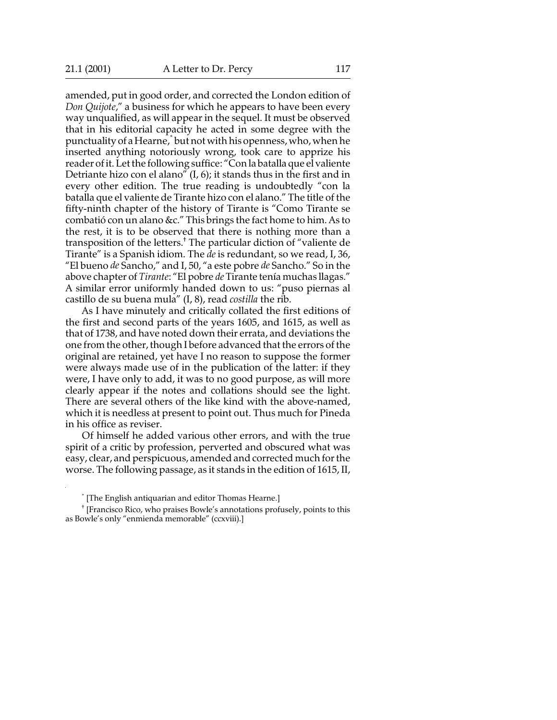amended, put in good order, and corrected the London edition of *Don Quijote*," a business for which he appears to have been every way unqualified, as will appear in the sequel. It must be observed that in his editorial capacity he acted in some degree with the punctuality of a Hearne, \* but not with his openness, who, when he inserted anything notoriously wrong, took care to apprize his reader of it. Let the following suffice: "Con la batalla que el valiente Detriante hizo con el alano" (I, 6); it stands thus in the first and in every other edition. The true reading is undoubtedly "con la batalla que el valiente de Tirante hizo con el alano." The title of the fifty-ninth chapter of the history of Tirante is "Como Tirante se combatió con un alano &c." This brings the fact home to him. As to the rest, it is to be observed that there is nothing more than a transposition of the letters.† The particular diction of "valiente de Tirante" is a Spanish idiom. The *de* is redundant, so we read, I, 36, "El bueno *de* Sancho," and I, 50, "a este pobre *de* Sancho." So in the above chapter of *Tirante*: "El pobre *de* Tirante tenía muchas llagas." A similar error uniformly handed down to us: "puso piernas al castillo de su buena mula" (I, 8), read *costilla* the rib.

As I have minutely and critically collated the first editions of the first and second parts of the years 1605, and 1615, as well as that of 1738, and have noted down their errata, and deviations the one from the other, though I before advanced that the errors of the original are retained, yet have I no reason to suppose the former were always made use of in the publication of the latter: if they were, I have only to add, it was to no good purpose, as will more clearly appear if the notes and collations should see the light. There are several others of the like kind with the above-named, which it is needless at present to point out. Thus much for Pineda in his office as reviser.

Of himself he added various other errors, and with the true spirit of a critic by profession, perverted and obscured what was easy, clear, and perspicuous, amended and corrected much for the worse. The following passage, as it stands in the edition of 1615, II,

<sup>\*</sup> [The English antiquarian and editor Thomas Hearne.]

<sup>†</sup> [Francisco Rico, who praises Bowle's annotations profusely, points to this as Bowle's only "enmienda memorable" (ccxviii).]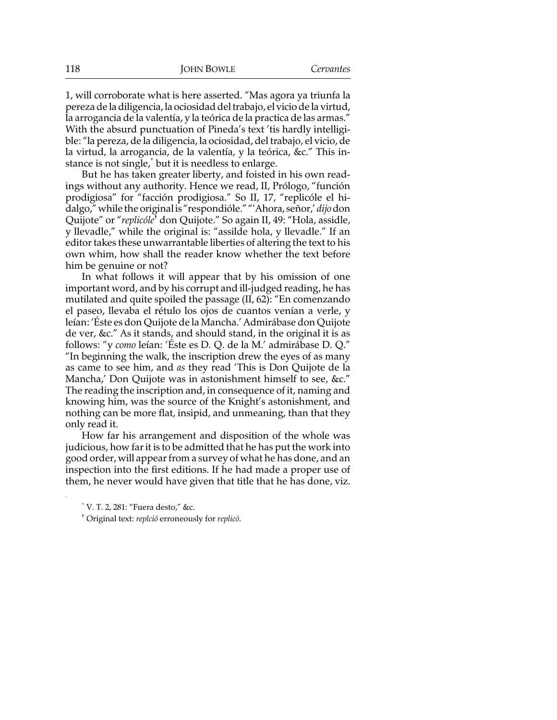1, will corroborate what is here asserted. "Mas agora ya triunfa la pereza de la diligencia, la ociosidad del trabajo, el vicio de la virtud, la arrogancia de la valentía, y la teórica de la practica de las armas." With the absurd punctuation of Pineda's text 'tis hardly intelligible: "la pereza, de la diligencia, la ociosidad, del trabajo, el vicio, de la virtud, la arrogancia, de la valentía, y la teórica, &c." This instance is not single,\* but it is needless to enlarge.

But he has taken greater liberty, and foisted in his own readings without any authority. Hence we read, II, Prólogo, "función prodigiosa" for "facción prodigiosa." So II, 17, "replicóle el hidalgo," while the original is "respondióle." "'Ahora, señor,' *dijo* don Quijote" or "*replicóle*† don Quijote." So again II, 49: "Hola, assidle, y llevadle," while the original is: "assilde hola, y llevadle." If an editor takes these unwarrantable liberties of altering the text to his own whim, how shall the reader know whether the text before him be genuine or not?

In what follows it will appear that by his omission of one important word, and by his corrupt and ill-judged reading, he has mutilated and quite spoiled the passage (II, 62): "En comenzando el paseo, llevaba el rétulo los ojos de cuantos venían a verle, y leían: 'Éste es don Quijote de la Mancha.' Admirábase don Quijote de ver, &c." As it stands, and should stand, in the original it is as follows: "y *como* leían: 'Éste es D. Q. de la M.' admirábase D. Q." "In beginning the walk, the inscription drew the eyes of as many as came to see him, and *as* they read 'This is Don Quijote de la Mancha,' Don Quijote was in astonishment himself to see, &c." The reading the inscription and, in consequence of it, naming and knowing him, was the source of the Knight's astonishment, and nothing can be more flat, insipid, and unmeaning, than that they only read it.

How far his arrangement and disposition of the whole was judicious, how far it is to be admitted that he has put the work into good order, will appear from a survey of what he has done, and an inspection into the first editions. If he had made a proper use of them, he never would have given that title that he has done, viz.

<sup>\*</sup> V. T. 2, 281: "Fuera desto," &c.

<sup>†</sup> Original text: *replció* erroneously for *replicó*.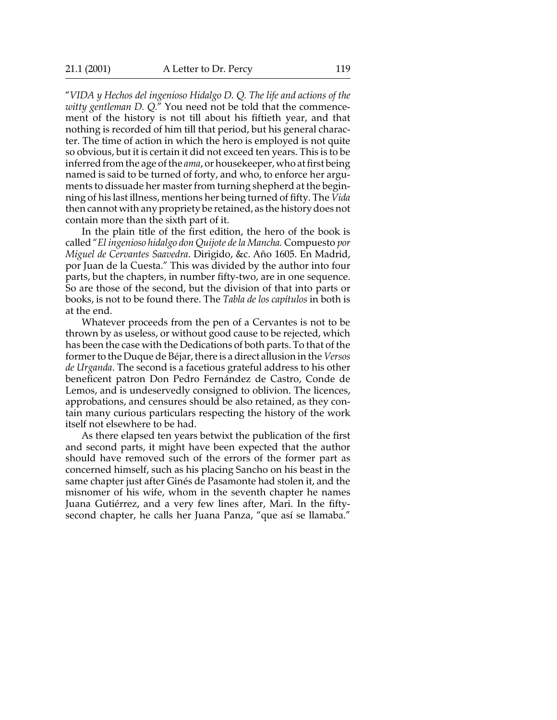"*VIDA y Hechos del ingenioso Hidalgo D. Q. The life and actions of the witty gentleman D. Q.*" You need not be told that the commencement of the history is not till about his fiftieth year, and that nothing is recorded of him till that period, but his general character. The time of action in which the hero is employed is not quite so obvious, but it is certain it did not exceed ten years. This is to be inferred from the age of the *ama*, or housekeeper, who at first being named is said to be turned of forty, and who, to enforce her arguments to dissuade her master from turning shepherd at the beginning of his last illness, mentions her being turned of fifty. The *Vida* then cannot with any propriety be retained, as the history does not contain more than the sixth part of it.

In the plain title of the first edition, the hero of the book is called "*El ingenioso hidalgo don Quijote de la Mancha.* Compuesto *por Miguel de Cervantes Saavedra*. Dirigido, &c. Año 1605. En Madrid, por Juan de la Cuesta." This was divided by the author into four parts, but the chapters, in number fifty-two, are in one sequence. So are those of the second, but the division of that into parts or books, is not to be found there. The *Tabla de los capítulos* in both is at the end.

Whatever proceeds from the pen of a Cervantes is not to be thrown by as useless, or without good cause to be rejected, which has been the case with the Dedications of both parts. To that of the former to the Duque de Béjar, there is a direct allusion in the *Versos de Urganda*. The second is a facetious grateful address to his other beneficent patron Don Pedro Fernández de Castro, Conde de Lemos, and is undeservedly consigned to oblivion. The licences, approbations, and censures should be also retained, as they contain many curious particulars respecting the history of the work itself not elsewhere to be had.

As there elapsed ten years betwixt the publication of the first and second parts, it might have been expected that the author should have removed such of the errors of the former part as concerned himself, such as his placing Sancho on his beast in the same chapter just after Ginés de Pasamonte had stolen it, and the misnomer of his wife, whom in the seventh chapter he names Juana Gutiérrez, and a very few lines after, Mari. In the fiftysecond chapter, he calls her Juana Panza, "que así se llamaba."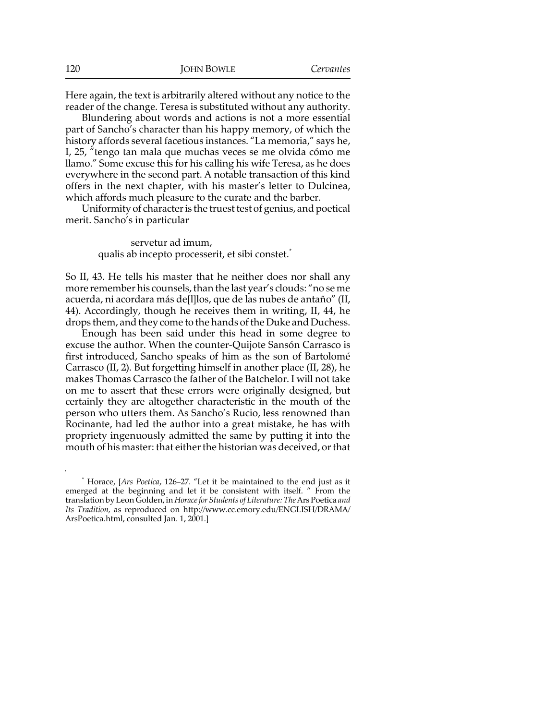Here again, the text is arbitrarily altered without any notice to the reader of the change. Teresa is substituted without any authority.

Blundering about words and actions is not a more essential part of Sancho's character than his happy memory, of which the history affords several facetious instances. "La memoria," says he, I, 25, "tengo tan mala que muchas veces se me olvida cómo me llamo." Some excuse this for his calling his wife Teresa, as he does everywhere in the second part. A notable transaction of this kind offers in the next chapter, with his master's letter to Dulcinea, which affords much pleasure to the curate and the barber.

Uniformity of character is the truest test of genius, and poetical merit. Sancho's in particular

> servetur ad imum, qualis ab incepto processerit, et sibi constet.<sup>\*</sup>

So II, 43. He tells his master that he neither does nor shall any more remember his counsels, than the last year's clouds: "no se me acuerda, ni acordara más de[l]los, que de las nubes de antaño" (II, 44). Accordingly, though he receives them in writing, II, 44, he drops them, and they come to the hands of the Duke and Duchess.

Enough has been said under this head in some degree to excuse the author. When the counter-Quijote Sansón Carrasco is first introduced, Sancho speaks of him as the son of Bartolomé Carrasco (II, 2). But forgetting himself in another place (II, 28), he makes Thomas Carrasco the father of the Batchelor. I will not take on me to assert that these errors were originally designed, but certainly they are altogether characteristic in the mouth of the person who utters them. As Sancho's Rucio, less renowned than Rocinante, had led the author into a great mistake, he has with propriety ingenuously admitted the same by putting it into the mouth of his master: that either the historian was deceived, or that

\* Horace, [*Ars Poetica*, 126–27. "Let it be maintained to the end just as it emerged at the beginning and let it be consistent with itself. " From the translation by Leon Golden, in *Horace for Students of Literature: The* Ars Poetica *and Its Tradition,* as reproduced on http://www.cc.emory.edu/ENGLISH/DRAMA/ ArsPoetica.html, consulted Jan. 1, 2001.]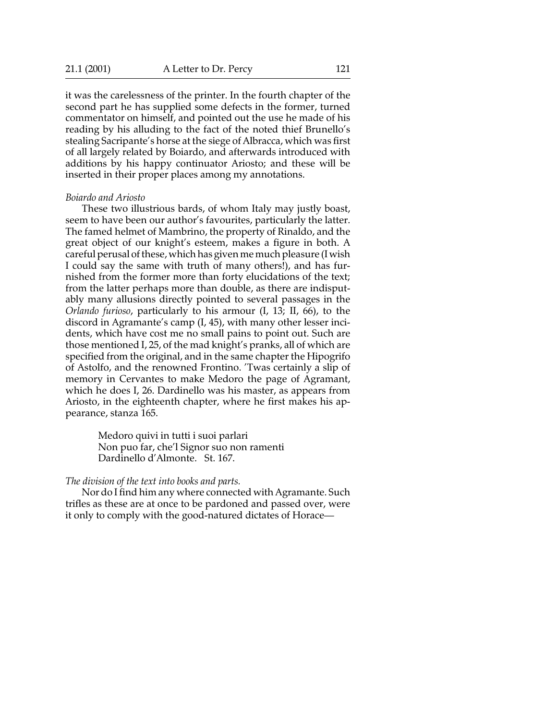it was the carelessness of the printer. In the fourth chapter of the second part he has supplied some defects in the former, turned commentator on himself, and pointed out the use he made of his reading by his alluding to the fact of the noted thief Brunello's stealing Sacripante's horse at the siege of Albracca, which was first of all largely related by Boiardo, and afterwards introduced with additions by his happy continuator Ariosto; and these will be inserted in their proper places among my annotations.

#### *Boiardo and Ariosto*

These two illustrious bards, of whom Italy may justly boast, seem to have been our author's favourites, particularly the latter. The famed helmet of Mambrino, the property of Rinaldo, and the great object of our knight's esteem, makes a figure in both. A careful perusal of these, which has given me much pleasure (I wish I could say the same with truth of many others!), and has furnished from the former more than forty elucidations of the text; from the latter perhaps more than double, as there are indisputably many allusions directly pointed to several passages in the *Orlando furioso*, particularly to his armour (I, 13; II, 66), to the discord in Agramante's camp (I, 45), with many other lesser incidents, which have cost me no small pains to point out. Such are those mentioned I, 25, of the mad knight's pranks, all of which are specified from the original, and in the same chapter the Hipogrifo of Astolfo, and the renowned Frontino. 'Twas certainly a slip of memory in Cervantes to make Medoro the page of Agramant, which he does I, 26. Dardinello was his master, as appears from Ariosto, in the eighteenth chapter, where he first makes his appearance, stanza 165.

> Medoro quivi in tutti i suoi parlari Non puo far, che'l Signor suo non ramenti Dardinello d'Almonte. St. 167.

*The division of the text into books and parts.*

Nor do I find him any where connected with Agramante. Such trifles as these are at once to be pardoned and passed over, were it only to comply with the good-natured dictates of Horace—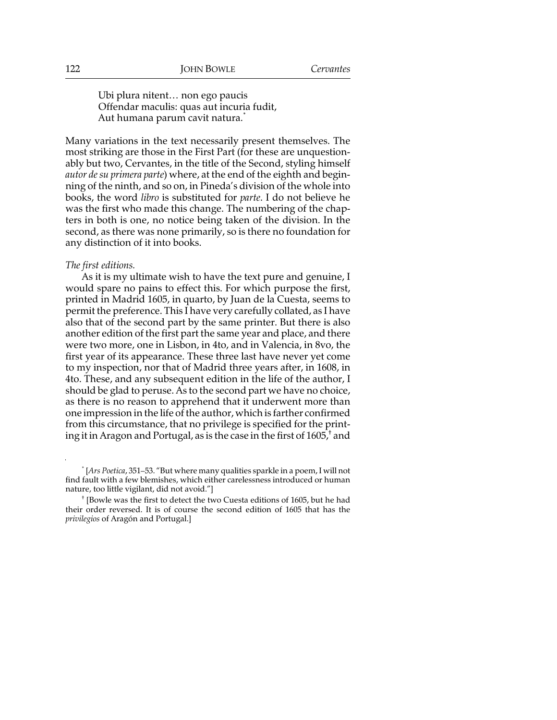Ubi plura nitent… non ego paucis Offendar maculis: quas aut incuria fudit, Aut humana parum cavit natura.<sup>\*</sup>

Many variations in the text necessarily present themselves. The most striking are those in the First Part (for these are unquestionably but two, Cervantes, in the title of the Second, styling himself *autor de su primera parte*) where, at the end of the eighth and beginning of the ninth, and so on, in Pineda's division of the whole into books, the word *libro* is substituted for *parte*. I do not believe he was the first who made this change. The numbering of the chapters in both is one, no notice being taken of the division. In the second, as there was none primarily, so is there no foundation for any distinction of it into books.

#### *The first editions.*

As it is my ultimate wish to have the text pure and genuine, I would spare no pains to effect this. For which purpose the first, printed in Madrid 1605, in quarto, by Juan de la Cuesta, seems to permit the preference. This I have very carefully collated, as I have also that of the second part by the same printer. But there is also another edition of the first part the same year and place, and there were two more, one in Lisbon, in 4to, and in Valencia, in 8vo, the first year of its appearance. These three last have never yet come to my inspection, nor that of Madrid three years after, in 1608, in 4to. These, and any subsequent edition in the life of the author, I should be glad to peruse. As to the second part we have no choice, as there is no reason to apprehend that it underwent more than one impression in the life of the author, which is farther confirmed from this circumstance, that no privilege is specified for the printing it in Aragon and Portugal, as is the case in the first of 1605, $^\dagger$  and

<sup>\*</sup> [*Ars Poetica*, 351–53. "But where many qualities sparkle in a poem, I will not find fault with a few blemishes, which either carelessness introduced or human nature, too little vigilant, did not avoid."]

<sup>†</sup> [Bowle was the first to detect the two Cuesta editions of 1605, but he had their order reversed. It is of course the second edition of 1605 that has the *privilegios* of Aragón and Portugal.]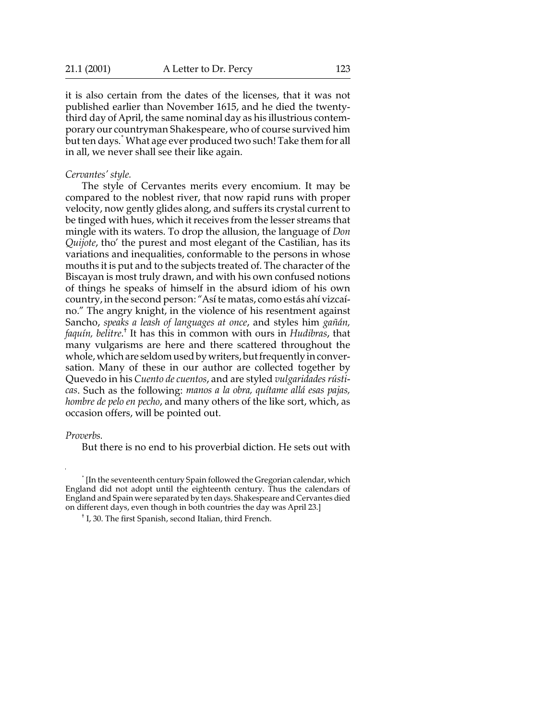it is also certain from the dates of the licenses, that it was not published earlier than November 1615, and he died the twentythird day of April, the same nominal day as his illustrious contemporary our countryman Shakespeare, who of course survived him but ten days.\* What age ever produced two such! Take them for all in all, we never shall see their like again.

#### *Cervantes' style.*

The style of Cervantes merits every encomium. It may be compared to the noblest river, that now rapid runs with proper velocity, now gently glides along, and suffers its crystal current to be tinged with hues, which it receives from the lesser streams that mingle with its waters. To drop the allusion, the language of *Don Quijote*, tho' the purest and most elegant of the Castilian, has its variations and inequalities, conformable to the persons in whose mouths it is put and to the subjects treated of. The character of the Biscayan is most truly drawn, and with his own confused notions of things he speaks of himself in the absurd idiom of his own country, in the second person: "Así te matas, como estás ahí vizcaíno." The angry knight, in the violence of his resentment against Sancho, *speaks a leash of languages at once*, and styles him *gañán,* faquín, belitre.<sup>†</sup> It has this in common with ours in *Hudibras*, that many vulgarisms are here and there scattered throughout the whole, which are seldom used by writers, but frequently in conversation. Many of these in our author are collected together by Quevedo in his *Cuento de cuentos*, and are styled *vulgaridades rústicas*. Such as the following: *manos a la obra, quítame allá esas pajas, hombre de pelo en pecho*, and many others of the like sort, which, as occasion offers, will be pointed out.

#### *Proverbs.*

But there is no end to his proverbial diction. He sets out with

\* [In the seventeenth century Spain followed the Gregorian calendar, which England did not adopt until the eighteenth century. Thus the calendars of England and Spain were separated by ten days. Shakespeare and Cervantes died on different days, even though in both countries the day was April 23.]

† I, 30. The first Spanish, second Italian, third French.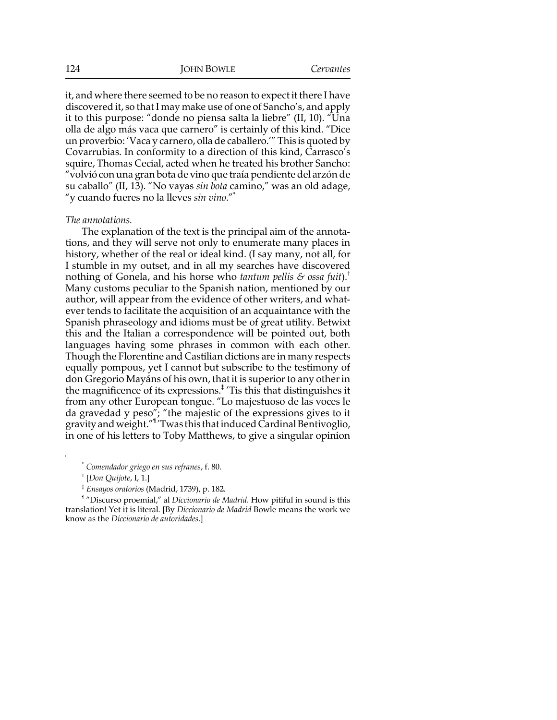it, and where there seemed to be no reason to expect it there I have discovered it, so that I may make use of one of Sancho's, and apply it to this purpose: "donde no piensa salta la liebre" (II, 10). "Una olla de algo más vaca que carnero" is certainly of this kind. "Dice un proverbio: 'Vaca y carnero, olla de caballero.'" This is quoted by Covarrubias. In conformity to a direction of this kind, Carrasco's squire, Thomas Cecial, acted when he treated his brother Sancho: "volvió con una gran bota de vino que traía pendiente del arzón de su caballo" (II, 13). "No vayas *sin bota* camino," was an old adage, "y cuando fueres no la lleves *sin vino*."\*

#### *The annotations.*

The explanation of the text is the principal aim of the annotations, and they will serve not only to enumerate many places in history, whether of the real or ideal kind. (I say many, not all, for I stumble in my outset, and in all my searches have discovered nothing of Gonela, and his horse who *tantum pellis & ossa fuit*).† Many customs peculiar to the Spanish nation, mentioned by our author, will appear from the evidence of other writers, and whatever tends to facilitate the acquisition of an acquaintance with the Spanish phraseology and idioms must be of great utility. Betwixt this and the Italian a correspondence will be pointed out, both languages having some phrases in common with each other. Though the Florentine and Castilian dictions are in many respects equally pompous, yet I cannot but subscribe to the testimony of don Gregorio Mayáns of his own, that it is superior to any other in the magnificence of its expressions.‡ 'Tis this that distinguishes it from any other European tongue. "Lo majestuoso de las voces le da gravedad y peso"; "the majestic of the expressions gives to it gravity and weight."¶ 'Twas this that induced Cardinal Bentivoglio, in one of his letters to Toby Matthews, to give a singular opinion

\* *Comendador griego en sus refranes*, f. 80.

‡ *Ensayos oratorios* (Madrid, 1739), p. 182.

¶ "Discurso proemial," al *Diccionario de Madrid*. How pitiful in sound is this translation! Yet it is literal. [By *Diccionario de Madrid* Bowle means the work we know as the *Diccionario de autoridades*.]

<sup>†</sup> [*Don Quijote*, I, 1.]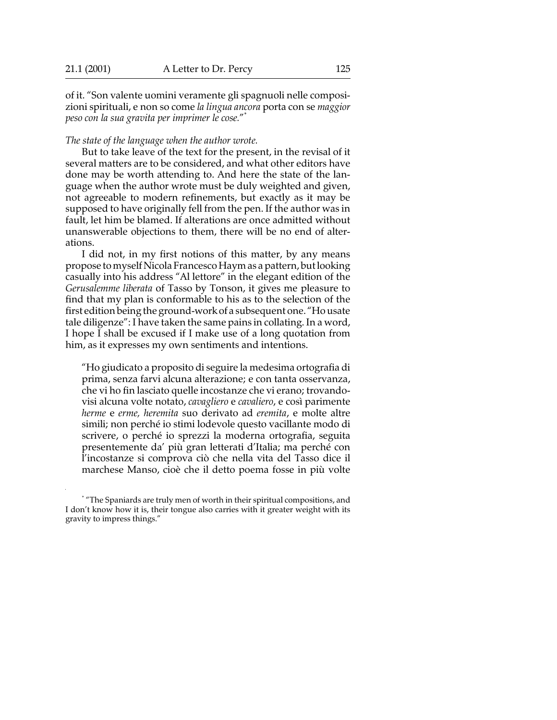of it. "Son valente uomini veramente gli spagnuoli nelle composizioni spirituali, e non so come *la lingua ancora* porta con se *maggior peso con la sua gravita per imprimer le cose.*" \*

*The state of the language when the author wrote.*

But to take leave of the text for the present, in the revisal of it several matters are to be considered, and what other editors have done may be worth attending to. And here the state of the language when the author wrote must be duly weighted and given, not agreeable to modern refinements, but exactly as it may be supposed to have originally fell from the pen. If the author was in fault, let him be blamed. If alterations are once admitted without unanswerable objections to them, there will be no end of alterations.

I did not, in my first notions of this matter, by any means propose to myself Nicola Francesco Haym as a pattern, but looking casually into his address "Al lettore" in the elegant edition of the *Gerusalemme liberata* of Tasso by Tonson, it gives me pleasure to find that my plan is conformable to his as to the selection of the first edition being the ground-work of a subsequent one. "Ho usate tale diligenze": I have taken the same pains in collating. In a word, I hope I shall be excused if I make use of a long quotation from him, as it expresses my own sentiments and intentions.

"Ho giudicato a proposito di seguire la medesima ortografia di prima, senza farvi alcuna alterazione; e con tanta osservanza, che vi ho fin lasciato quelle incostanze che vi erano; trovandovisi alcuna volte notato, *cavagliero* e *cavaliero*, e così parimente *herme* e *erme, heremita* suo derivato ad *eremita*, e molte altre simili; non perché io stimi lodevole questo vacillante modo di scrivere, o perché io sprezzi la moderna ortografia, seguita presentemente da' più gran letterati d'Italia; ma perché con l'incostanze si comprova ciò che nella vita del Tasso dice il marchese Manso, cioè che il detto poema fosse in più volte

<sup>\*</sup> "The Spaniards are truly men of worth in their spiritual compositions, and I don't know how it is, their tongue also carries with it greater weight with its gravity to impress things."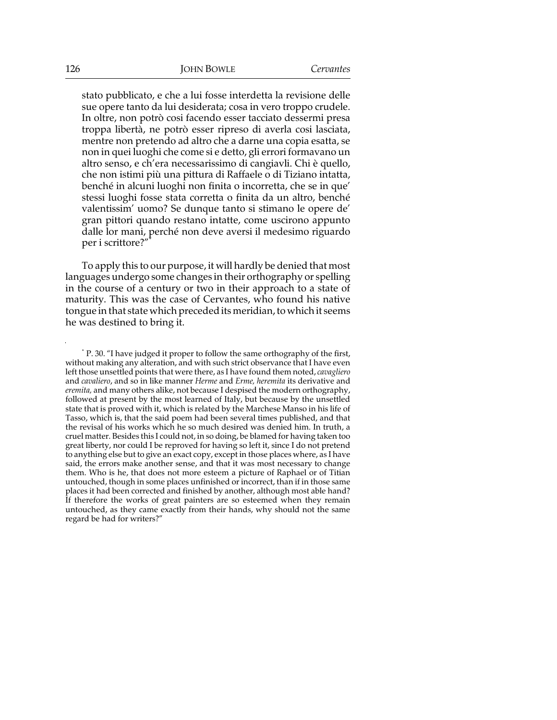stato pubblicato, e che a lui fosse interdetta la revisione delle sue opere tanto da lui desiderata; cosa in vero troppo crudele. In oltre, non potrò cosi facendo esser tacciato dessermi presa troppa libertà, ne potrò esser ripreso di averla cosi lasciata, mentre non pretendo ad altro che a darne una copia esatta, se non in quei luoghi che come si e detto, gli errori formavano un altro senso, e ch'era necessarissimo di cangiavli. Chi è quello, che non istimi più una pittura di Raffaele o di Tiziano intatta, benché in alcuni luoghi non finita o incorretta, che se in que' stessi luoghi fosse stata corretta o finita da un altro, benché valentissim' uomo? Se dunque tanto si stimano le opere de' gran pittori quando restano intatte, come uscirono appunto dalle lor mani, perché non deve aversi il medesimo riguardo per i scrittore?"\*

To apply this to our purpose, it will hardly be denied that most languages undergo some changes in their orthography or spelling in the course of a century or two in their approach to a state of maturity. This was the case of Cervantes, who found his native tongue in that state which preceded its meridian, to which it seems he was destined to bring it.

\* P. 30. "I have judged it proper to follow the same orthography of the first, without making any alteration, and with such strict observance that I have even left those unsettled points that were there, as I have found them noted, *cavagliero* and *cavaliero*, and so in like manner *Herme* and *Erme, heremita* its derivative and *eremita,* and many others alike, not because I despised the modern orthography, followed at present by the most learned of Italy, but because by the unsettled state that is proved with it, which is related by the Marchese Manso in his life of Tasso, which is, that the said poem had been several times published, and that the revisal of his works which he so much desired was denied him. In truth, a cruel matter. Besides this I could not, in so doing, be blamed for having taken too great liberty, nor could I be reproved for having so left it, since I do not pretend to anything else but to give an exact copy, except in those places where, as I have said, the errors make another sense, and that it was most necessary to change them. Who is he, that does not more esteem a picture of Raphael or of Titian untouched, though in some places unfinished or incorrect, than if in those same places it had been corrected and finished by another, although most able hand? If therefore the works of great painters are so esteemed when they remain untouched, as they came exactly from their hands, why should not the same regard be had for writers?"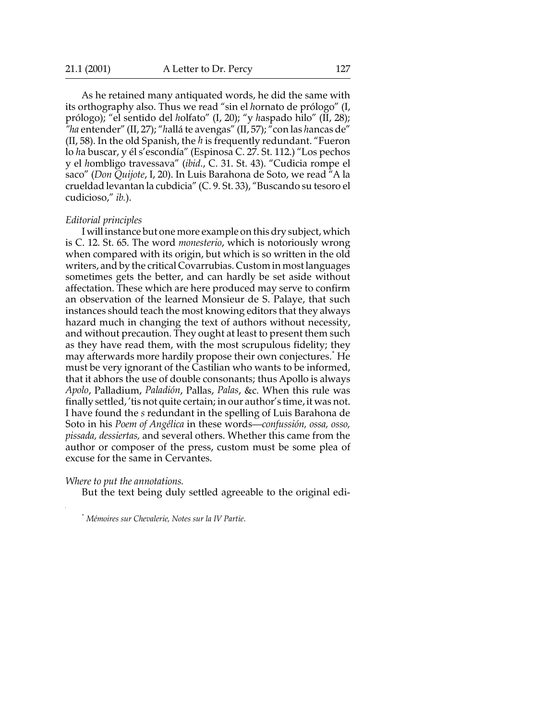As he retained many antiquated words, he did the same with its orthography also. Thus we read "sin el *h*ornato de prólogo" (I, prólogo); "el sentido del *h*olfato" (I, 20); "y *h*aspado hilo" (II, 28); *"ha* entender" (II, 27); "*h*allá te avengas" (II, 57); "con las *h*ancas de" (II, 58). In the old Spanish, the *h* is frequently redundant. "Fueron lo *h*a buscar, y él s'escondía" (Espinosa C. 27. St. 112.) "Los pechos y el *h*ombligo travessava" (*ibid*., C. 31. St. 43). "Cudicia rompe el saco" (*Don Quijote*, I, 20). In Luis Barahona de Soto, we read "A la crueldad levantan la cubdicia" (C. 9. St. 33), "Buscando su tesoro el cudicioso," *ib.*).

#### *Editorial principles*

I will instance but one more example on this dry subject, which is C. 12. St. 65. The word *monesterio*, which is notoriously wrong when compared with its origin, but which is so written in the old writers, and by the critical Covarrubias. Custom in most languages sometimes gets the better, and can hardly be set aside without affectation. These which are here produced may serve to confirm an observation of the learned Monsieur de S. Palaye, that such instances should teach the most knowing editors that they always hazard much in changing the text of authors without necessity, and without precaution. They ought at least to present them such as they have read them, with the most scrupulous fidelity; they may afterwards more hardily propose their own conjectures.\* He must be very ignorant of the Castilian who wants to be informed, that it abhors the use of double consonants; thus Apollo is always *Apolo*, Palladium, *Paladión*, Pallas, *Palas*, &c. When this rule was finally settled, 'tis not quite certain; in our author's time, it was not. I have found the *s* redundant in the spelling of Luis Barahona de Soto in his *Poem of Angélica* in these words—*confussión, ossa, osso, pissada, dessiertas,* and several others. Whether this came from the author or composer of the press, custom must be some plea of excuse for the same in Cervantes.

*Where to put the annotations.*

But the text being duly settled agreeable to the original edi-

\* *Mémoires sur Chevalerie, Notes sur la IV Partie*.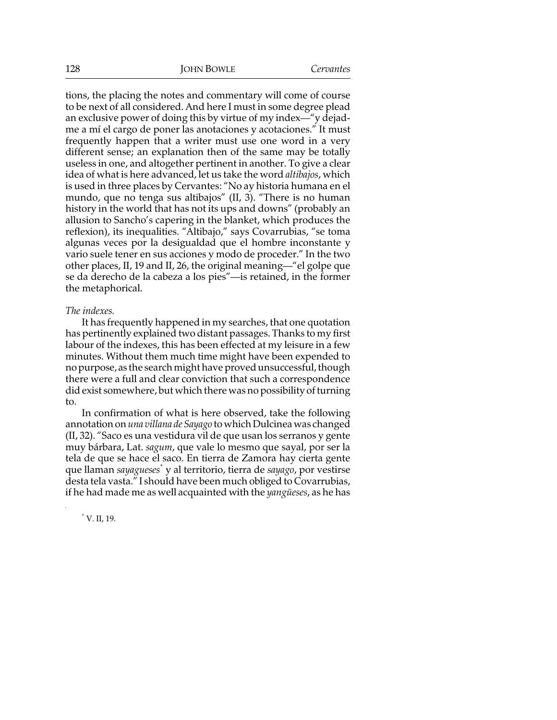tions, the placing the notes and commentary will come of course to be next of all considered. And here I must in some degree plead an exclusive power of doing this by virtue of my index—"y dejadme a mí el cargo de poner las anotaciones y acotaciones." It must frequently happen that a writer must use one word in a very different sense; an explanation then of the same may be totally useless in one, and altogether pertinent in another. To give a clear idea of what is here advanced, let us take the word *altibajos*, which is used in three places by Cervantes: "No ay historia humana en el mundo, que no tenga sus altibajos" (II, 3). "There is no human history in the world that has not its ups and downs" (probably an allusion to Sancho's capering in the blanket, which produces the reflexion), its inequalities. "Altibajo," says Covarrubias, "se toma algunas veces por la desigualdad que el hombre inconstante y vario suele tener en sus acciones y modo de proceder." In the two other places, II, 19 and II, 26, the original meaning—"el golpe que se da derecho de la cabeza a los pies"—is retained, in the former the metaphorical.

## *The indexes.*

It has frequently happened in my searches, that one quotation has pertinently explained two distant passages. Thanks to my first labour of the indexes, this has been effected at my leisure in a few minutes. Without them much time might have been expended to no purpose, as the search might have proved unsuccessful, though there were a full and clear conviction that such a correspondence did exist somewhere, but which there was no possibility of turning to.

In confirmation of what is here observed, take the following annotation on *una villana de Sayago* to which Dulcinea was changed (II, 32). "Saco es una vestidura vil de que usan los serranos y gente muy bárbara, Lat. *sagum*, que vale lo mesmo que sayal, por ser la tela de que se hace el saco. En tierra de Zamora hay cierta gente que llaman *sayagueses*\* y al territorio, tierra de *sayago*, por vestirse desta tela vasta." I should have been much obliged to Covarrubias, if he had made me as well acquainted with the *yangüeses*, as he has

\* V. II, 19.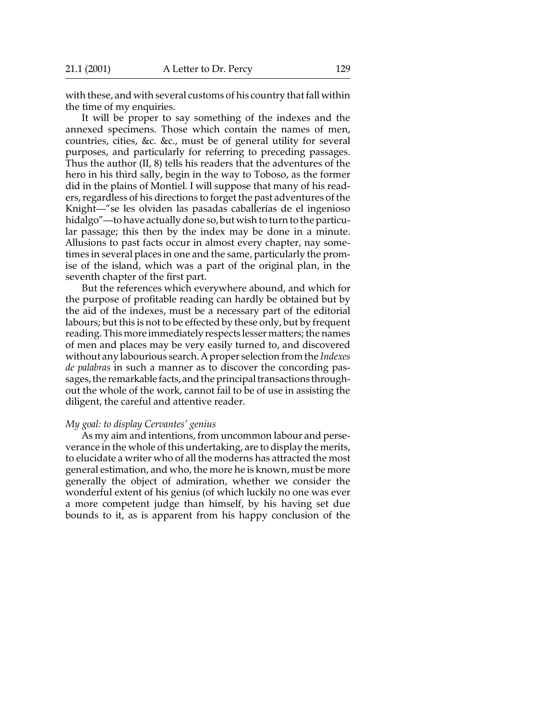with these, and with several customs of his country that fall within the time of my enquiries.

It will be proper to say something of the indexes and the annexed specimens. Those which contain the names of men, countries, cities, &c. &c., must be of general utility for several purposes, and particularly for referring to preceding passages. Thus the author (II, 8) tells his readers that the adventures of the hero in his third sally, begin in the way to Toboso, as the former did in the plains of Montiel. I will suppose that many of his readers, regardless of his directions to forget the past adventures of the Knight—"se les olviden las pasadas caballerías de el ingenioso hidalgo"—to have actually done so, but wish to turn to the particular passage; this then by the index may be done in a minute. Allusions to past facts occur in almost every chapter, nay sometimes in several places in one and the same, particularly the promise of the island, which was a part of the original plan, in the seventh chapter of the first part.

But the references which everywhere abound, and which for the purpose of profitable reading can hardly be obtained but by the aid of the indexes, must be a necessary part of the editorial labours; but this is not to be effected by these only, but by frequent reading. This more immediately respects lesser matters; the names of men and places may be very easily turned to, and discovered without any labourious search. A proper selection from the *Indexes de palabras* in such a manner as to discover the concording passages, the remarkable facts, and the principal transactions throughout the whole of the work, cannot fail to be of use in assisting the diligent, the careful and attentive reader.

#### *My goal: to display Cervantes' genius*

As my aim and intentions, from uncommon labour and perseverance in the whole of this undertaking, are to display the merits, to elucidate a writer who of all the moderns has attracted the most general estimation, and who, the more he is known, must be more generally the object of admiration, whether we consider the wonderful extent of his genius (of which luckily no one was ever a more competent judge than himself, by his having set due bounds to it, as is apparent from his happy conclusion of the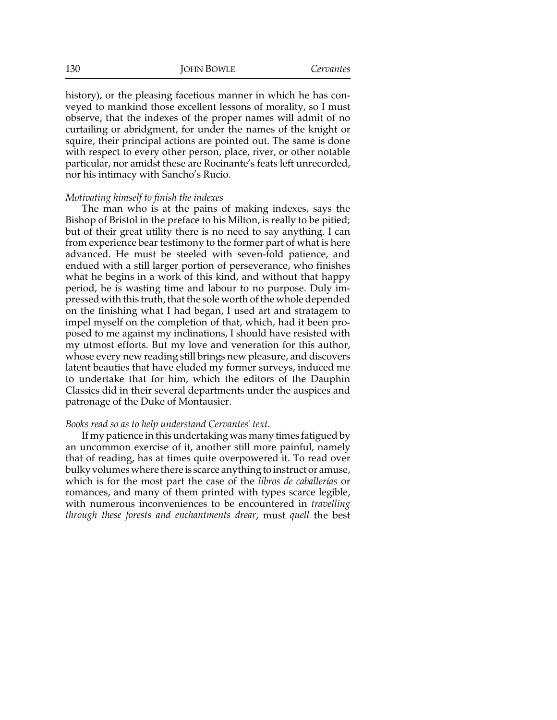history), or the pleasing facetious manner in which he has conveyed to mankind those excellent lessons of morality, so I must observe, that the indexes of the proper names will admit of no curtailing or abridgment, for under the names of the knight or squire, their principal actions are pointed out. The same is done with respect to every other person, place, river, or other notable particular, nor amidst these are Rocinante's feats left unrecorded, nor his intimacy with Sancho's Rucio.

#### *Motivating himself to finish the indexes*

The man who is at the pains of making indexes, says the Bishop of Bristol in the preface to his Milton, is really to be pitied; but of their great utility there is no need to say anything. I can from experience bear testimony to the former part of what is here advanced. He must be steeled with seven-fold patience, and endued with a still larger portion of perseverance, who finishes what he begins in a work of this kind, and without that happy period, he is wasting time and labour to no purpose. Duly impressed with this truth, that the sole worth of the whole depended on the finishing what I had began, I used art and stratagem to impel myself on the completion of that, which, had it been proposed to me against my inclinations, I should have resisted with my utmost efforts. But my love and veneration for this author, whose every new reading still brings new pleasure, and discovers latent beauties that have eluded my former surveys, induced me to undertake that for him, which the editors of the Dauphin Classics did in their several departments under the auspices and patronage of the Duke of Montausier.

#### *Books read so as to help understand Cervantes' text*.

If my patience in this undertaking was many times fatigued by an uncommon exercise of it, another still more painful, namely that of reading, has at times quite overpowered it. To read over bulky volumes where there is scarce anything to instruct or amuse, which is for the most part the case of the *libros de caballerías* or romances, and many of them printed with types scarce legible, with numerous inconveniences to be encountered in *travelling through these forests and enchantments drear*, must *quell* the best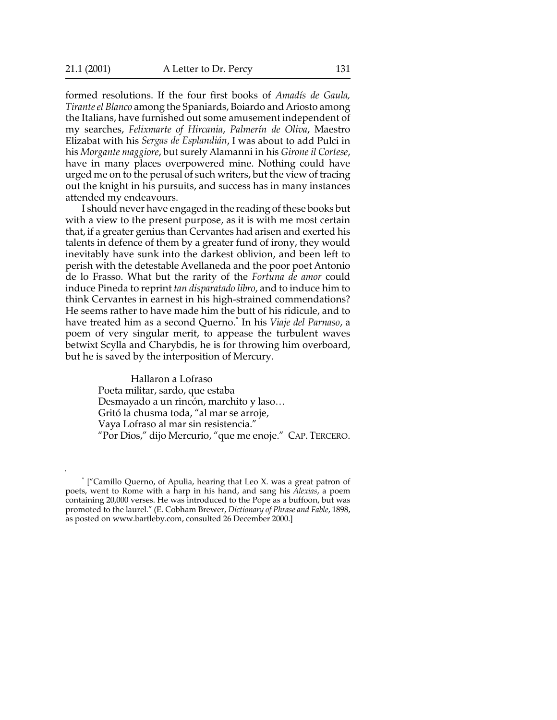formed resolutions. If the four first books of *Amadís de Gaula, Tirante el Blanco* among the Spaniards, Boiardo and Ariosto among the Italians, have furnished out some amusement independent of my searches, *Felixmarte of Hircania*, *Palmerín de Oliva*, Maestro Elizabat with his *Sergas de Esplandián*, I was about to add Pulci in his *Morgante maggiore*, but surely Alamanni in his *Girone il Cortese*, have in many places overpowered mine. Nothing could have urged me on to the perusal of such writers, but the view of tracing out the knight in his pursuits, and success has in many instances attended my endeavours.

I should never have engaged in the reading of these books but with a view to the present purpose, as it is with me most certain that, if a greater genius than Cervantes had arisen and exerted his talents in defence of them by a greater fund of irony, they would inevitably have sunk into the darkest oblivion, and been left to perish with the detestable Avellaneda and the poor poet Antonio de lo Frasso. What but the rarity of the *Fortuna de amor* could induce Pineda to reprint *tan disparatado libro*, and to induce him to think Cervantes in earnest in his high-strained commendations? He seems rather to have made him the butt of his ridicule, and to have treated him as a second Querno.\* In his *Viaje del Parnaso*, a poem of very singular merit, to appease the turbulent waves betwixt Scylla and Charybdis, he is for throwing him overboard, but he is saved by the interposition of Mercury.

> Hallaron a Lofraso Poeta militar, sardo, que estaba Desmayado a un rincón, marchito y laso… Gritó la chusma toda, "al mar se arroje, Vaya Lofraso al mar sin resistencia." "Por Dios," dijo Mercurio, "que me enoje." CAP. TERCERO.

<sup>\*</sup> ["Camillo Querno, of Apulia, hearing that Leo X. was a great patron of poets, went to Rome with a harp in his hand, and sang his *Alexias*, a poem containing 20,000 verses. He was introduced to the Pope as a buffoon, but was promoted to the laurel." (E. Cobham Brewer, *Dictionary of Phrase and Fable*, 1898, as posted on www.bartleby.com, consulted 26 December 2000.]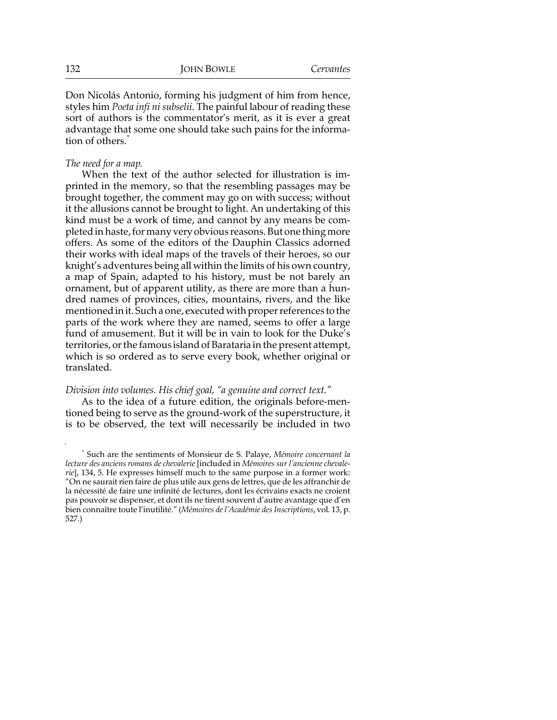Don Nicolás Antonio, forming his judgment of him from hence, styles him *Poeta infi ni subselii*. The painful labour of reading these sort of authors is the commentator's merit, as it is ever a great advantage that some one should take such pains for the information of others.\*

#### *The need for a map.*

When the text of the author selected for illustration is imprinted in the memory, so that the resembling passages may be brought together, the comment may go on with success; without it the allusions cannot be brought to light. An undertaking of this kind must be a work of time, and cannot by any means be completed in haste, for many very obvious reasons. But one thing more offers. As some of the editors of the Dauphin Classics adorned their works with ideal maps of the travels of their heroes, so our knight's adventures being all within the limits of his own country, a map of Spain, adapted to his history, must be not barely an ornament, but of apparent utility, as there are more than a hundred names of provinces, cities, mountains, rivers, and the like mentioned in it. Such a one, executed with proper references to the parts of the work where they are named, seems to offer a large fund of amusement. But it will be in vain to look for the Duke's territories, or the famous island of Barataria in the present attempt, which is so ordered as to serve every book, whether original or translated.

## *Division into volumes. His chief goal, "a genuine and correct text."*

As to the idea of a future edition, the originals before-mentioned being to serve as the ground-work of the superstructure, it is to be observed, the text will necessarily be included in two

<sup>\*</sup> Such are the sentiments of Monsieur de S. Palaye, *Mémoire concernant la lecture des anciens romans de chevalerie* [included in *Mémoires sur l'ancienne chevalerie*], 134, 5. He expresses himself much to the same purpose in a former work: "On ne saurait rien faire de plus utile aux gens de lettres, que de les affranchir de la nécessité de faire une infinité de lectures, dont les écrivains exacts ne croient pas pouvoir se dispenser, et dont ils ne tirent souvent d'autre avantage que d'en bien connaître toute l'inutilité." (*Mémoires de l'Académie des Inscriptions*, vol. 13, p. 527.)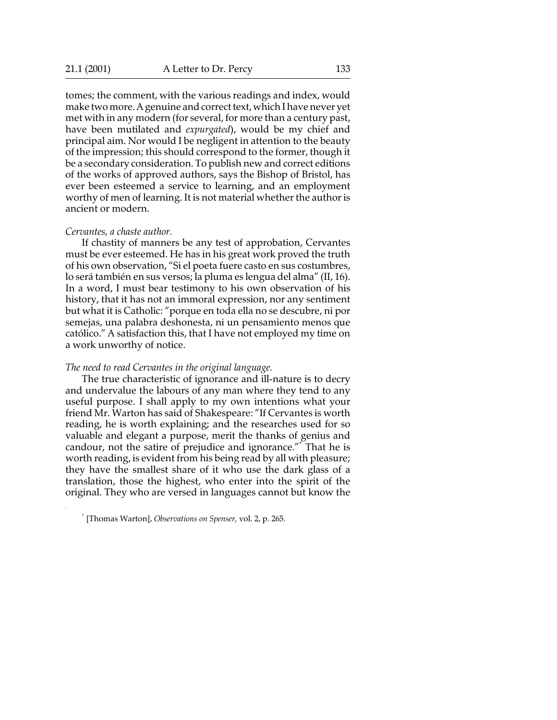tomes; the comment, with the various readings and index, would make two more. A genuine and correct text, which I have never yet met with in any modern (for several, for more than a century past, have been mutilated and *expurgated*), would be my chief and principal aim. Nor would I be negligent in attention to the beauty of the impression; this should correspond to the former, though it be a secondary consideration. To publish new and correct editions of the works of approved authors, says the Bishop of Bristol, has ever been esteemed a service to learning, and an employment worthy of men of learning. It is not material whether the author is ancient or modern.

#### *Cervantes, a chaste author.*

If chastity of manners be any test of approbation, Cervantes must be ever esteemed. He has in his great work proved the truth of his own observation, "Si el poeta fuere casto en sus costumbres, lo será también en sus versos; la pluma es lengua del alma" (II, 16). In a word, I must bear testimony to his own observation of his history, that it has not an immoral expression, nor any sentiment but what it is Catholic: "porque en toda ella no se descubre, ni por semejas, una palabra deshonesta, ni un pensamiento menos que católico." A satisfaction this, that I have not employed my time on a work unworthy of notice.

#### *The need to read Cervantes in the original language.*

The true characteristic of ignorance and ill-nature is to decry and undervalue the labours of any man where they tend to any useful purpose. I shall apply to my own intentions what your friend Mr. Warton has said of Shakespeare: "If Cervantes is worth reading, he is worth explaining; and the researches used for so valuable and elegant a purpose, merit the thanks of genius and candour, not the satire of prejudice and ignorance."\* That he is worth reading, is evident from his being read by all with pleasure; they have the smallest share of it who use the dark glass of a translation, those the highest, who enter into the spirit of the original. They who are versed in languages cannot but know the

<sup>\*</sup> [Thomas Warton], *Observations on Spenser,* vol. 2, p. 265.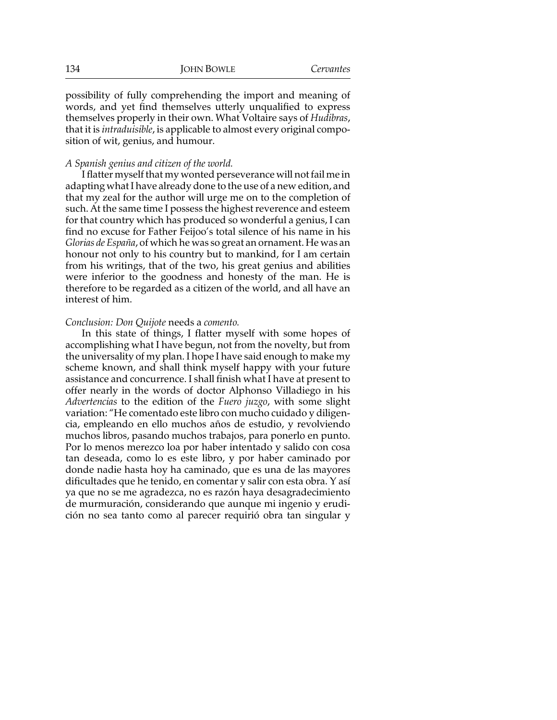possibility of fully comprehending the import and meaning of words, and yet find themselves utterly unqualified to express themselves properly in their own. What Voltaire says of *Hudibras*, that it is *intraduisible*, is applicable to almost every original composition of wit, genius, and humour.

#### *A Spanish genius and citizen of the world.*

I flatter myself that my wonted perseverance will not fail me in adapting what I have already done to the use of a new edition, and that my zeal for the author will urge me on to the completion of such. At the same time I possess the highest reverence and esteem for that country which has produced so wonderful a genius, I can find no excuse for Father Feijoo's total silence of his name in his *Glorias de España*, of which he was so great an ornament. He was an honour not only to his country but to mankind, for I am certain from his writings, that of the two, his great genius and abilities were inferior to the goodness and honesty of the man. He is therefore to be regarded as a citizen of the world, and all have an interest of him.

#### *Conclusion: Don Quijote* needs a *comento.*

In this state of things, I flatter myself with some hopes of accomplishing what I have begun, not from the novelty, but from the universality of my plan. I hope I have said enough to make my scheme known, and shall think myself happy with your future assistance and concurrence. I shall finish what I have at present to offer nearly in the words of doctor Alphonso Villadiego in his *Advertencias* to the edition of the *Fuero juzgo*, with some slight variation: "He comentado este libro con mucho cuidado y diligencia, empleando en ello muchos años de estudio, y revolviendo muchos libros, pasando muchos trabajos, para ponerlo en punto. Por lo menos merezco loa por haber intentado y salido con cosa tan deseada, como lo es este libro, y por haber caminado por donde nadie hasta hoy ha caminado, que es una de las mayores dificultades que he tenido, en comentar y salir con esta obra. Y así ya que no se me agradezca, no es razón haya desagradecimiento de murmuración, considerando que aunque mi ingenio y erudición no sea tanto como al parecer requirió obra tan singular y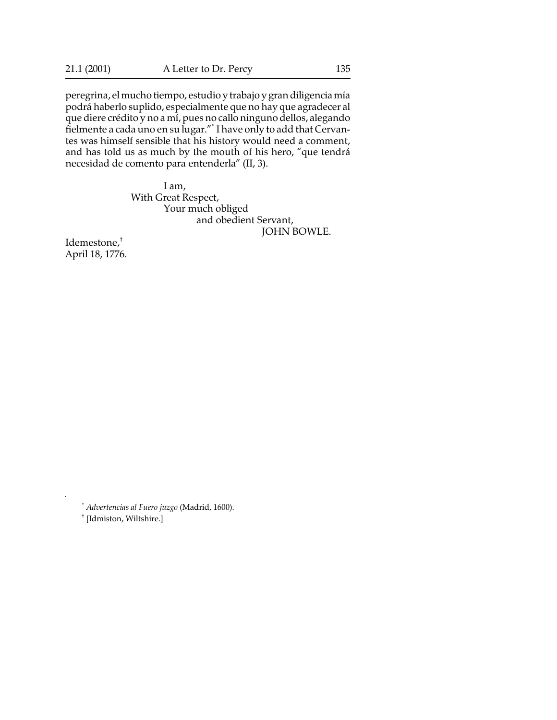peregrina, el mucho tiempo, estudio y trabajo y gran diligencia mía podrá haberlo suplido, especialmente que no hay que agradecer al que diere crédito y no a mí, pues no callo ninguno dellos, alegando fielmente a cada uno en su lugar."\* I have only to add that Cervantes was himself sensible that his history would need a comment, and has told us as much by the mouth of his hero, "que tendrá necesidad de comento para entenderla" (II, 3).

> I am, With Great Respect, Your much obliged and obedient Servant, JOHN BOWLE.

Idemestone,† April 18, 1776.

\* *Advertencias al Fuero juzgo* (Madrid, 1600).

† [Idmiston, Wiltshire.]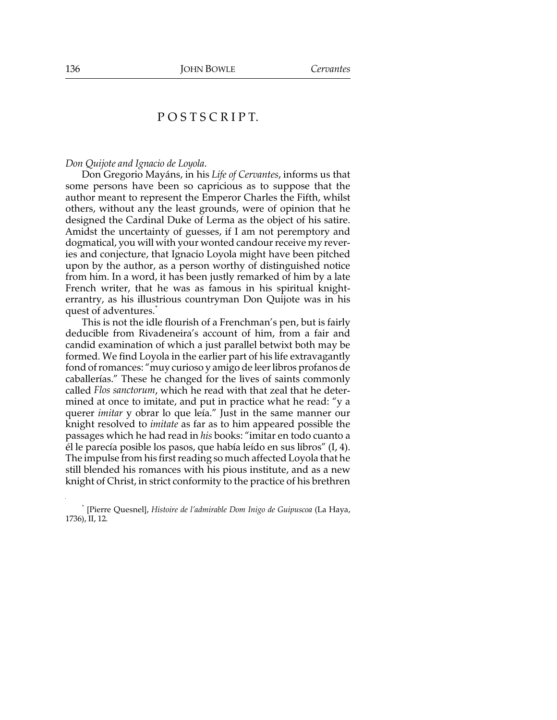## P O S T S C R I P T.

#### *Don Quijote and Ignacio de Loyola*.

Don Gregorio Mayáns, in his *Life of Cervantes*, informs us that some persons have been so capricious as to suppose that the author meant to represent the Emperor Charles the Fifth, whilst others, without any the least grounds, were of opinion that he designed the Cardinal Duke of Lerma as the object of his satire. Amidst the uncertainty of guesses, if I am not peremptory and dogmatical, you will with your wonted candour receive my reveries and conjecture, that Ignacio Loyola might have been pitched upon by the author, as a person worthy of distinguished notice from him. In a word, it has been justly remarked of him by a late French writer, that he was as famous in his spiritual knighterrantry, as his illustrious countryman Don Quijote was in his quest of adventures.<sup>\*</sup>

This is not the idle flourish of a Frenchman's pen, but is fairly deducible from Rivadeneira's account of him, from a fair and candid examination of which a just parallel betwixt both may be formed. We find Loyola in the earlier part of his life extravagantly fond of romances: "muy curioso y amigo de leer libros profanos de caballerías." These he changed for the lives of saints commonly called *Flos sanctorum*, which he read with that zeal that he determined at once to imitate, and put in practice what he read: "y a querer *imitar* y obrar lo que leía." Just in the same manner our knight resolved to *imitate* as far as to him appeared possible the passages which he had read in *his* books: "imitar en todo cuanto a él le parecía posible los pasos, que había leído en sus libros" (I, 4). The impulse from his first reading so much affected Loyola that he still blended his romances with his pious institute, and as a new knight of Christ, in strict conformity to the practice of his brethren

<sup>\*</sup> [Pierre Quesnel], *Histoire de l'admirable Dom Inigo de Guipuscoa* (La Haya, 1736), II, 12.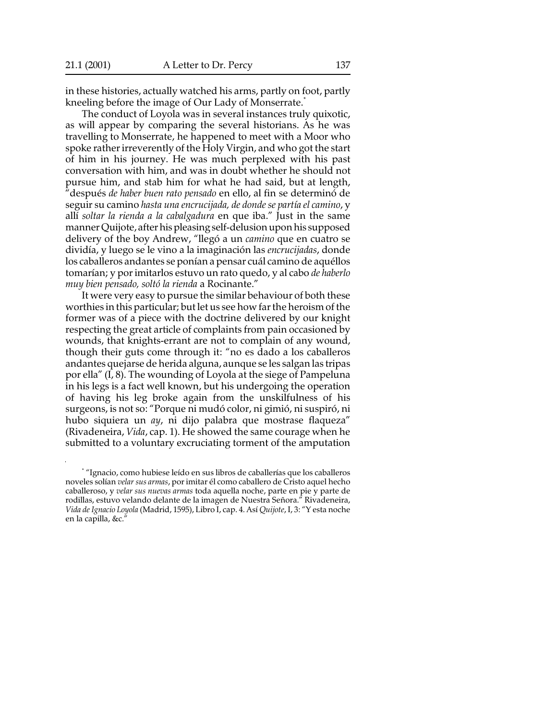in these histories, actually watched his arms, partly on foot, partly kneeling before the image of Our Lady of Monserrate.<sup>\*</sup>

The conduct of Loyola was in several instances truly quixotic, as will appear by comparing the several historians. As he was travelling to Monserrate, he happened to meet with a Moor who spoke rather irreverently of the Holy Virgin, and who got the start of him in his journey. He was much perplexed with his past conversation with him, and was in doubt whether he should not pursue him, and stab him for what he had said, but at length, "después *de haber buen rato pensado* en ello, al fin se determinó de seguir su camino *hasta una encrucijada, de donde se partía el camino*, y allí *soltar la rienda a la cabalgadura* en que iba." Just in the same manner Quijote, after his pleasing self-delusion upon his supposed delivery of the boy Andrew, "llegó a un *camino* que en cuatro se dividía, y luego se le vino a la imaginación las *encrucijadas*, donde los caballeros andantes se ponían a pensar cuál camino de aquéllos tomarían; y por imitarlos estuvo un rato quedo, y al cabo *de haberlo muy bien pensado, soltó la rienda* a Rocinante."

It were very easy to pursue the similar behaviour of both these worthies in this particular; but let us see how far the heroism of the former was of a piece with the doctrine delivered by our knight respecting the great article of complaints from pain occasioned by wounds, that knights-errant are not to complain of any wound, though their guts come through it: "no es dado a los caballeros andantes quejarse de herida alguna, aunque se les salgan las tripas por ella" (I, 8). The wounding of Loyola at the siege of Pampeluna in his legs is a fact well known, but his undergoing the operation of having his leg broke again from the unskilfulness of his surgeons, is not so: "Porque ni mudó color, ni gimió, ni suspiró, ni hubo siquiera un *ay*, ni dijo palabra que mostrase flaqueza" (Rivadeneira, *Vida*, cap. 1). He showed the same courage when he submitted to a voluntary excruciating torment of the amputation

<sup>\*</sup> "Ignacio, como hubiese leído en sus libros de caballerías que los caballeros noveles solían *velar sus armas*, por imitar él como caballero de Cristo aquel hecho caballeroso, y *velar sus nuevas armas* toda aquella noche, parte en pie y parte de rodillas, estuvo velando delante de la imagen de Nuestra Señora." Rivadeneira, *Vida de Ignacio Loyola* (Madrid, 1595), Libro I, cap. 4. Así *Quijote*, I, 3: "Y esta noche en la capilla, &c."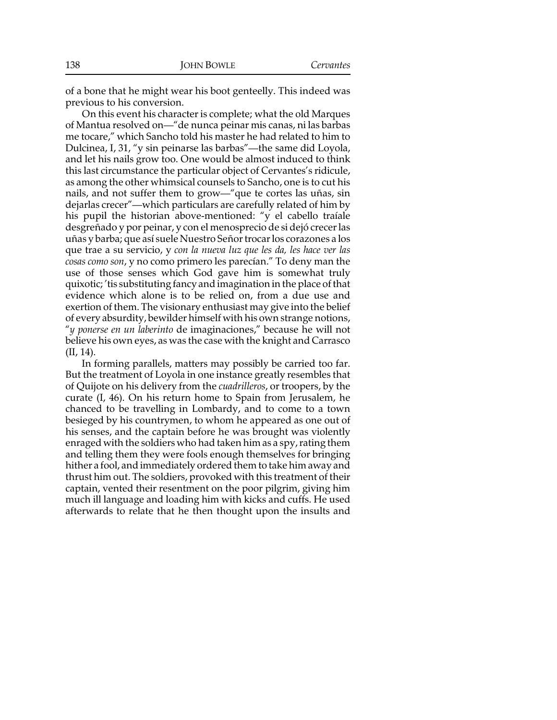of a bone that he might wear his boot genteelly. This indeed was previous to his conversion.

On this event his character is complete; what the old Marques of Mantua resolved on—"de nunca peinar mis canas, ni las barbas me tocare," which Sancho told his master he had related to him to Dulcinea, I, 31, "y sin peinarse las barbas"—the same did Loyola, and let his nails grow too. One would be almost induced to think this last circumstance the particular object of Cervantes's ridicule, as among the other whimsical counsels to Sancho, one is to cut his nails, and not suffer them to grow—"que te cortes las uñas, sin dejarlas crecer"—which particulars are carefully related of him by his pupil the historian above-mentioned: "y el cabello traíale desgreñado y por peinar, y con el menosprecio de si dejó crecer las uñas y barba; que así suele Nuestro Señor trocar los corazones a los que trae a su servicio, y *con la nueva luz que les da, les hace ver las cosas como son*, y no como primero les parecían." To deny man the use of those senses which God gave him is somewhat truly quixotic; 'tis substituting fancy and imagination in the place of that evidence which alone is to be relied on, from a due use and exertion of them. The visionary enthusiast may give into the belief of every absurdity, bewilder himself with his own strange notions, "*y ponerse en un laberinto* de imaginaciones," because he will not believe his own eyes, as was the case with the knight and Carrasco (II, 14).

In forming parallels, matters may possibly be carried too far. But the treatment of Loyola in one instance greatly resembles that of Quijote on his delivery from the *cuadrilleros*, or troopers, by the curate (I, 46). On his return home to Spain from Jerusalem, he chanced to be travelling in Lombardy, and to come to a town besieged by his countrymen, to whom he appeared as one out of his senses, and the captain before he was brought was violently enraged with the soldiers who had taken him as a spy, rating them and telling them they were fools enough themselves for bringing hither a fool, and immediately ordered them to take him away and thrust him out. The soldiers, provoked with this treatment of their captain, vented their resentment on the poor pilgrim, giving him much ill language and loading him with kicks and cuffs. He used afterwards to relate that he then thought upon the insults and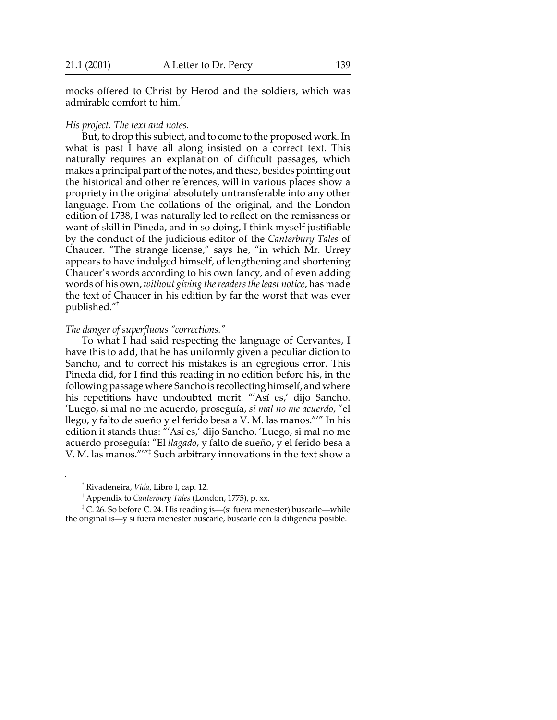mocks offered to Christ by Herod and the soldiers, which was admirable comfort to him.\*

#### *His project. The text and notes.*

But, to drop this subject, and to come to the proposed work. In what is past I have all along insisted on a correct text. This naturally requires an explanation of difficult passages, which makes a principal part of the notes, and these, besides pointing out the historical and other references, will in various places show a propriety in the original absolutely untransferable into any other language. From the collations of the original, and the London edition of 1738, I was naturally led to reflect on the remissness or want of skill in Pineda, and in so doing, I think myself justifiable by the conduct of the judicious editor of the *Canterbury Tales* of Chaucer. "The strange license," says he, "in which Mr. Urrey appears to have indulged himself, of lengthening and shortening Chaucer's words according to his own fancy, and of even adding words of his own, *without giving the readers the least notice*, has made the text of Chaucer in his edition by far the worst that was ever published."†

## *The danger of superfluous "corrections."*

To what I had said respecting the language of Cervantes, I have this to add, that he has uniformly given a peculiar diction to Sancho, and to correct his mistakes is an egregious error. This Pineda did, for I find this reading in no edition before his, in the following passage where Sancho is recollecting himself, and where his repetitions have undoubted merit. "'Así es,' dijo Sancho. 'Luego, si mal no me acuerdo, proseguía, *si mal no me acuerdo*, "el llego, y falto de sueño y el ferido besa a V. M. las manos."'" In his edition it stands thus: "'Así es,' dijo Sancho. 'Luego, si mal no me acuerdo proseguía: "El *llagado*, y falto de sueño, y el ferido besa a V. M. las manos."'"‡ Such arbitrary innovations in the text show a

\* Rivadeneira, *Vida*, Libro I, cap. 12.

‡ C. 26. So before C. 24. His reading is—(si fuera menester) buscarle—while the original is—y si fuera menester buscarle, buscarle con la diligencia posible.

<sup>†</sup> Appendix to *Canterbury Tales* (London, 1775), p. xx.